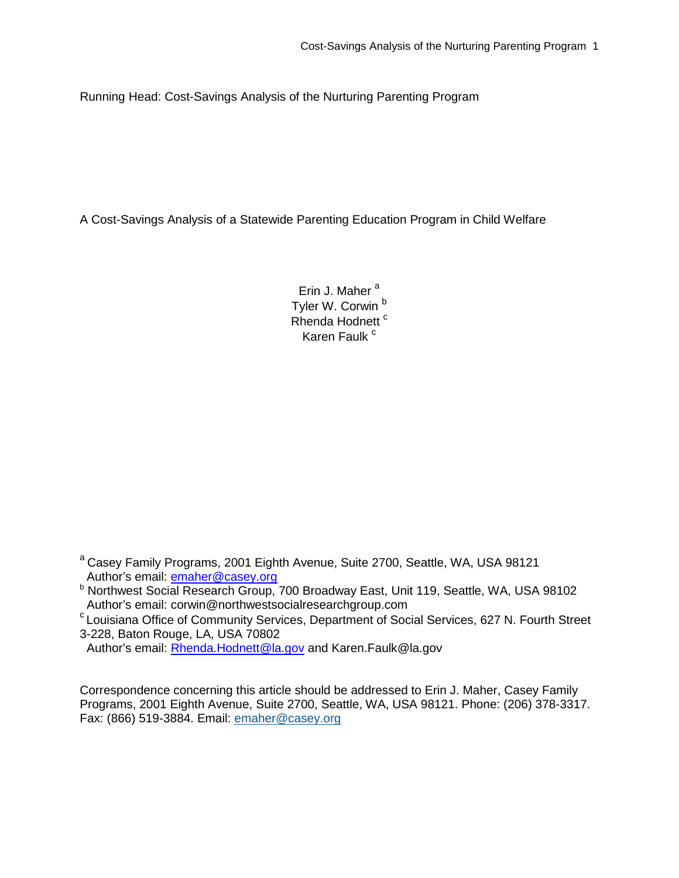Running Head: Cost-Savings Analysis of the Nurturing Parenting Program

A Cost-Savings Analysis of a Statewide Parenting Education Program in Child Welfare

Erin J. Maher<sup>a</sup> Tyler W. Corwin<sup>b</sup> Rhenda Hodnett<sup>c</sup> Karen Faulk<sup>c</sup>

<sup>a</sup> Casey Family Programs, 2001 Eighth Avenue, Suite 2700, Seattle, WA, USA 98121 Author's email: [emaher@casey.org](mailto:EMaher@casey.org)

 $c$  Louisiana Office of Community Services, Department of Social Services, 627 N. Fourth Street 3-228, Baton Rouge, LA, USA 70802

Author's email: [Rhenda.Hodnett@la.gov](mailto:Rhenda.Hodnett@la.gov) and Karen.Faulk@la.gov

Correspondence concerning this article should be addressed to Erin J. Maher, Casey Family Programs, 2001 Eighth Avenue, Suite 2700, Seattle, WA, USA 98121. Phone: (206) 378-3317. Fax: (866) 519-3884. Email: [emaher@casey.org](mailto:emaher@casey.org)

b Northwest Social Research Group, 700 Broadway East, Unit 119, Seattle, WA, USA 98102<br>Author's email: corwin@northwestsocialresearchgroup.com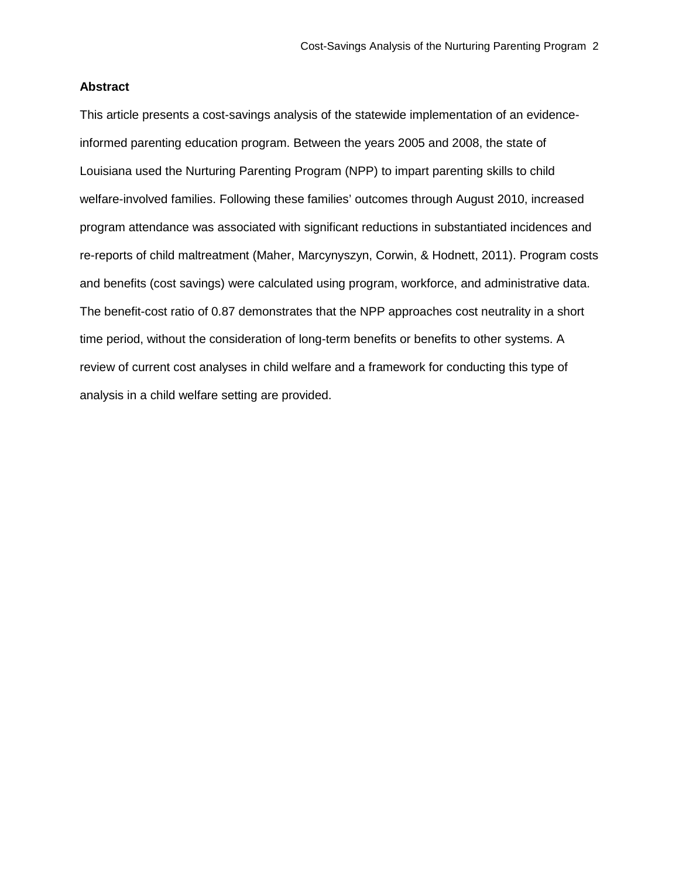# **Abstract**

This article presents a cost-savings analysis of the statewide implementation of an evidenceinformed parenting education program. Between the years 2005 and 2008, the state of Louisiana used the Nurturing Parenting Program (NPP) to impart parenting skills to child welfare-involved families. Following these families' outcomes through August 2010, increased program attendance was associated with significant reductions in substantiated incidences and re-reports of child maltreatment (Maher, Marcynyszyn, Corwin, & Hodnett, 2011). Program costs and benefits (cost savings) were calculated using program, workforce, and administrative data. The benefit-cost ratio of 0.87 demonstrates that the NPP approaches cost neutrality in a short time period, without the consideration of long-term benefits or benefits to other systems. A review of current cost analyses in child welfare and a framework for conducting this type of analysis in a child welfare setting are provided.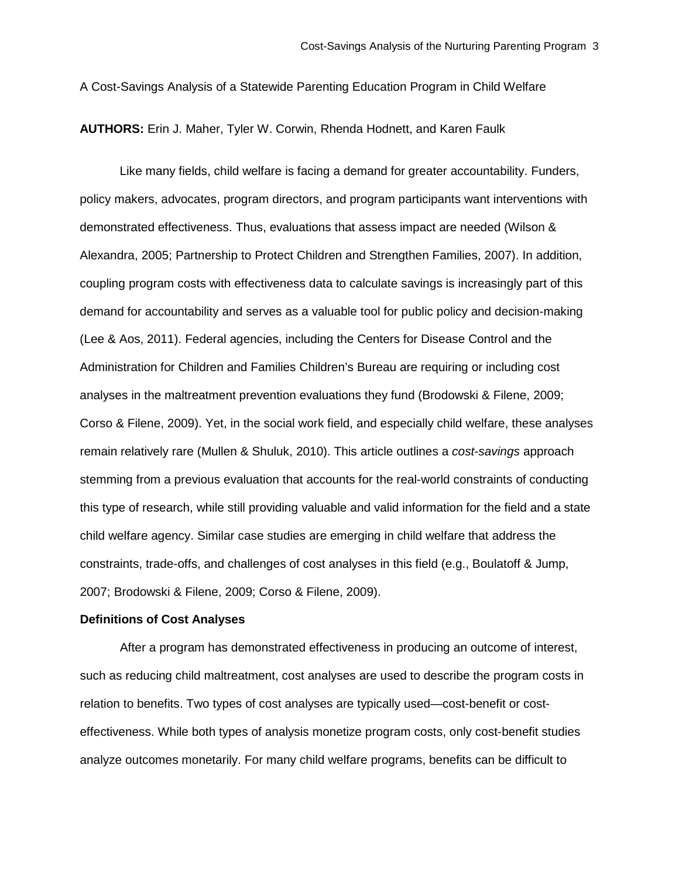A Cost-Savings Analysis of a Statewide Parenting Education Program in Child Welfare

**AUTHORS:** Erin J. Maher, Tyler W. Corwin, Rhenda Hodnett, and Karen Faulk

Like many fields, child welfare is facing a demand for greater accountability. Funders, policy makers, advocates, program directors, and program participants want interventions with demonstrated effectiveness. Thus, evaluations that assess impact are needed (Wilson & Alexandra, 2005; Partnership to Protect Children and Strengthen Families, 2007). In addition, coupling program costs with effectiveness data to calculate savings is increasingly part of this demand for accountability and serves as a valuable tool for public policy and decision-making (Lee & Aos, 2011). Federal agencies, including the Centers for Disease Control and the Administration for Children and Families Children's Bureau are requiring or including cost analyses in the maltreatment prevention evaluations they fund (Brodowski & Filene, 2009; Corso & Filene, 2009). Yet, in the social work field, and especially child welfare, these analyses remain relatively rare (Mullen & Shuluk, 2010). This article outlines a *cost-savings* approach stemming from a previous evaluation that accounts for the real-world constraints of conducting this type of research, while still providing valuable and valid information for the field and a state child welfare agency. Similar case studies are emerging in child welfare that address the constraints, trade-offs, and challenges of cost analyses in this field (e.g., Boulatoff & Jump, 2007; Brodowski & Filene, 2009; Corso & Filene, 2009).

#### **Definitions of Cost Analyses**

After a program has demonstrated effectiveness in producing an outcome of interest, such as reducing child maltreatment, cost analyses are used to describe the program costs in relation to benefits. Two types of cost analyses are typically used—cost-benefit or costeffectiveness. While both types of analysis monetize program costs, only cost-benefit studies analyze outcomes monetarily. For many child welfare programs, benefits can be difficult to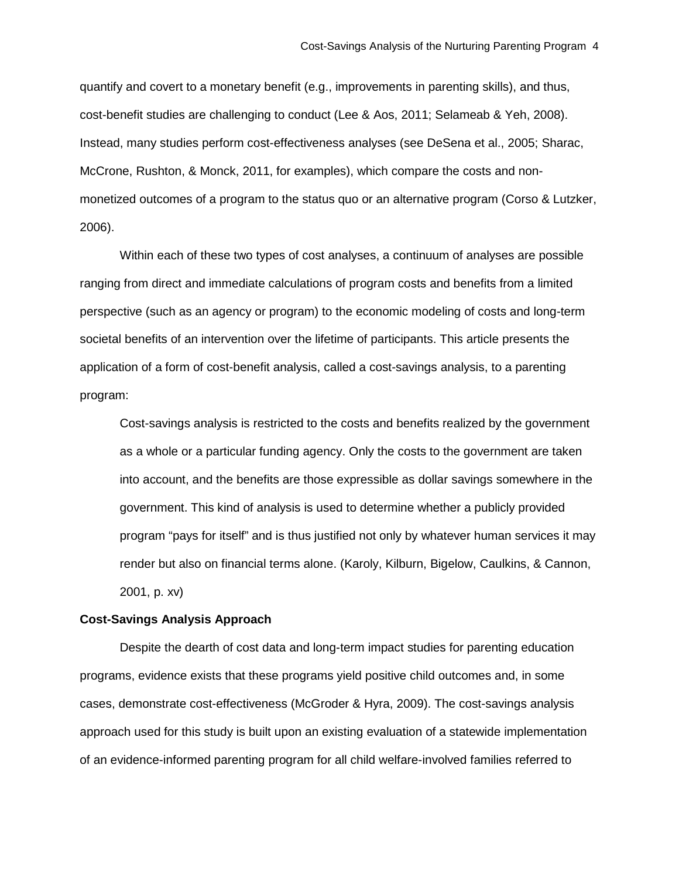quantify and covert to a monetary benefit (e.g., improvements in parenting skills), and thus, cost-benefit studies are challenging to conduct (Lee & Aos, 2011; Selameab & Yeh, 2008). Instead, many studies perform cost-effectiveness analyses (see DeSena et al., 2005; Sharac, McCrone, Rushton, & Monck, 2011, for examples), which compare the costs and nonmonetized outcomes of a program to the status quo or an alternative program (Corso & Lutzker, 2006).

Within each of these two types of cost analyses, a continuum of analyses are possible ranging from direct and immediate calculations of program costs and benefits from a limited perspective (such as an agency or program) to the economic modeling of costs and long-term societal benefits of an intervention over the lifetime of participants. This article presents the application of a form of cost-benefit analysis, called a cost-savings analysis, to a parenting program:

Cost-savings analysis is restricted to the costs and benefits realized by the government as a whole or a particular funding agency. Only the costs to the government are taken into account, and the benefits are those expressible as dollar savings somewhere in the government. This kind of analysis is used to determine whether a publicly provided program "pays for itself" and is thus justified not only by whatever human services it may render but also on financial terms alone. (Karoly, Kilburn, Bigelow, Caulkins, & Cannon, 2001, p. xv)

#### **Cost-Savings Analysis Approach**

Despite the dearth of cost data and long-term impact studies for parenting education programs, evidence exists that these programs yield positive child outcomes and, in some cases, demonstrate cost-effectiveness (McGroder & Hyra, 2009). The cost-savings analysis approach used for this study is built upon an existing evaluation of a statewide implementation of an evidence-informed parenting program for all child welfare-involved families referred to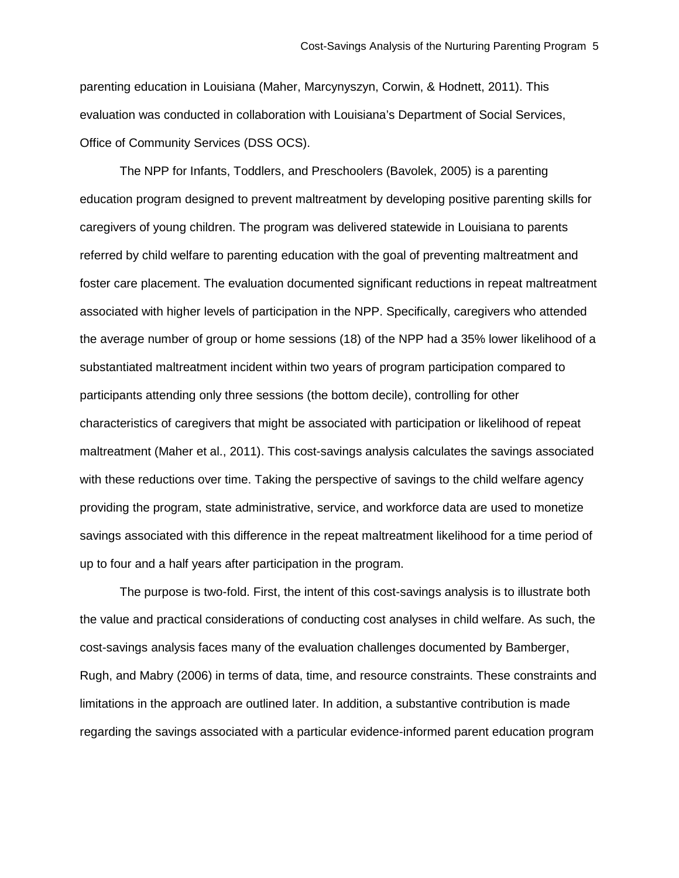parenting education in Louisiana (Maher, Marcynyszyn, Corwin, & Hodnett, 2011). This evaluation was conducted in collaboration with Louisiana's Department of Social Services, Office of Community Services (DSS OCS).

The NPP for Infants, Toddlers, and Preschoolers (Bavolek, 2005) is a parenting education program designed to prevent maltreatment by developing positive parenting skills for caregivers of young children. The program was delivered statewide in Louisiana to parents referred by child welfare to parenting education with the goal of preventing maltreatment and foster care placement. The evaluation documented significant reductions in repeat maltreatment associated with higher levels of participation in the NPP. Specifically, caregivers who attended the average number of group or home sessions (18) of the NPP had a 35% lower likelihood of a substantiated maltreatment incident within two years of program participation compared to participants attending only three sessions (the bottom decile), controlling for other characteristics of caregivers that might be associated with participation or likelihood of repeat maltreatment (Maher et al., 2011). This cost-savings analysis calculates the savings associated with these reductions over time. Taking the perspective of savings to the child welfare agency providing the program, state administrative, service, and workforce data are used to monetize savings associated with this difference in the repeat maltreatment likelihood for a time period of up to four and a half years after participation in the program.

The purpose is two-fold. First, the intent of this cost-savings analysis is to illustrate both the value and practical considerations of conducting cost analyses in child welfare. As such, the cost-savings analysis faces many of the evaluation challenges documented by Bamberger, Rugh, and Mabry (2006) in terms of data, time, and resource constraints. These constraints and limitations in the approach are outlined later. In addition, a substantive contribution is made regarding the savings associated with a particular evidence-informed parent education program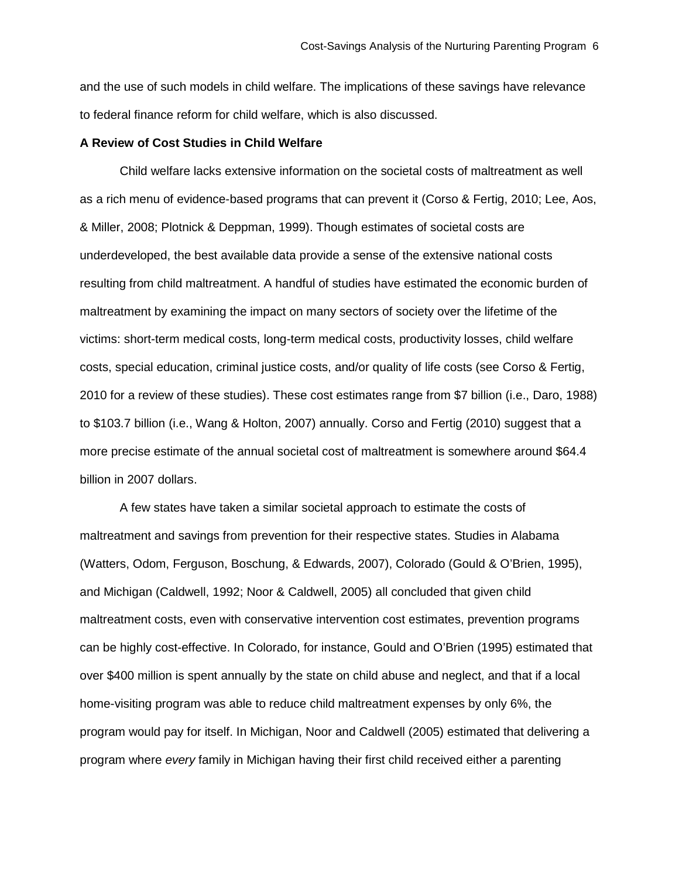and the use of such models in child welfare. The implications of these savings have relevance to federal finance reform for child welfare, which is also discussed.

#### **A Review of Cost Studies in Child Welfare**

Child welfare lacks extensive information on the societal costs of maltreatment as well as a rich menu of evidence-based programs that can prevent it (Corso & Fertig, 2010; Lee, Aos, & Miller, 2008; Plotnick & Deppman, 1999). Though estimates of societal costs are underdeveloped, the best available data provide a sense of the extensive national costs resulting from child maltreatment. A handful of studies have estimated the economic burden of maltreatment by examining the impact on many sectors of society over the lifetime of the victims: short-term medical costs, long-term medical costs, productivity losses, child welfare costs, special education, criminal justice costs, and/or quality of life costs (see Corso & Fertig, 2010 for a review of these studies). These cost estimates range from \$7 billion (i.e., Daro, 1988) to \$103.7 billion (i.e., Wang & Holton, 2007) annually. Corso and Fertig (2010) suggest that a more precise estimate of the annual societal cost of maltreatment is somewhere around \$64.4 billion in 2007 dollars.

A few states have taken a similar societal approach to estimate the costs of maltreatment and savings from prevention for their respective states. Studies in Alabama (Watters, Odom, Ferguson, Boschung, & Edwards, 2007), Colorado (Gould & O'Brien, 1995), and Michigan (Caldwell, 1992; Noor & Caldwell, 2005) all concluded that given child maltreatment costs, even with conservative intervention cost estimates, prevention programs can be highly cost-effective. In Colorado, for instance, Gould and O'Brien (1995) estimated that over \$400 million is spent annually by the state on child abuse and neglect, and that if a local home-visiting program was able to reduce child maltreatment expenses by only 6%, the program would pay for itself. In Michigan, Noor and Caldwell (2005) estimated that delivering a program where *every* family in Michigan having their first child received either a parenting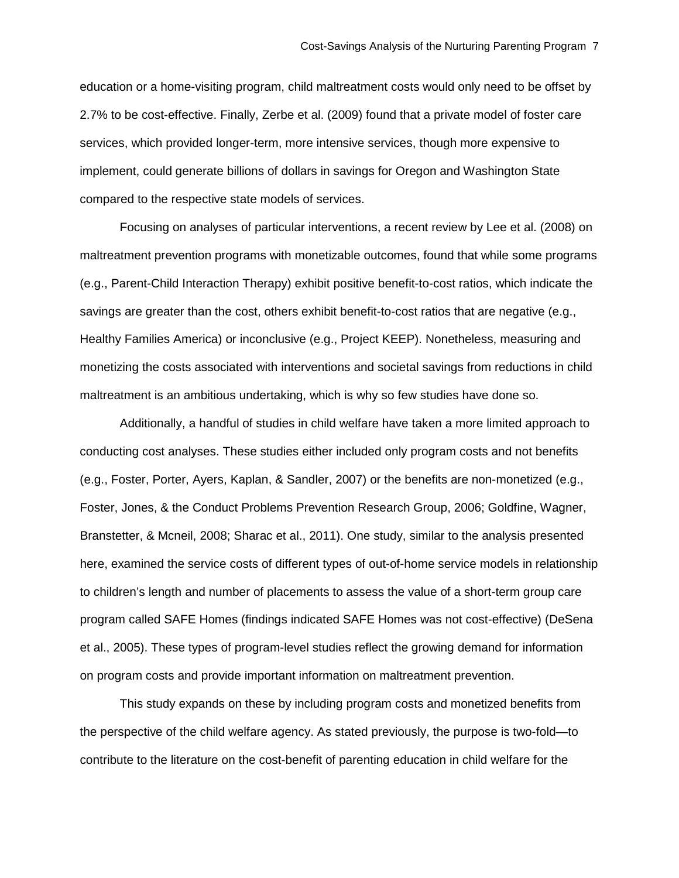education or a home-visiting program, child maltreatment costs would only need to be offset by 2.7% to be cost-effective. Finally, Zerbe et al. (2009) found that a private model of foster care services, which provided longer-term, more intensive services, though more expensive to implement, could generate billions of dollars in savings for Oregon and Washington State compared to the respective state models of services.

Focusing on analyses of particular interventions, a recent review by Lee et al. (2008) on maltreatment prevention programs with monetizable outcomes, found that while some programs (e.g., Parent-Child Interaction Therapy) exhibit positive benefit-to-cost ratios, which indicate the savings are greater than the cost, others exhibit benefit-to-cost ratios that are negative (e.g., Healthy Families America) or inconclusive (e.g., Project KEEP). Nonetheless, measuring and monetizing the costs associated with interventions and societal savings from reductions in child maltreatment is an ambitious undertaking, which is why so few studies have done so.

Additionally, a handful of studies in child welfare have taken a more limited approach to conducting cost analyses. These studies either included only program costs and not benefits (e.g., Foster, Porter, Ayers, Kaplan, & Sandler, 2007) or the benefits are non-monetized (e.g., Foster, Jones, & the Conduct Problems Prevention Research Group, 2006; Goldfine, Wagner, Branstetter, & Mcneil, 2008; Sharac et al., 2011). One study, similar to the analysis presented here, examined the service costs of different types of out-of-home service models in relationship to children's length and number of placements to assess the value of a short-term group care program called SAFE Homes (findings indicated SAFE Homes was not cost-effective) (DeSena et al., 2005). These types of program-level studies reflect the growing demand for information on program costs and provide important information on maltreatment prevention.

This study expands on these by including program costs and monetized benefits from the perspective of the child welfare agency. As stated previously, the purpose is two-fold—to contribute to the literature on the cost-benefit of parenting education in child welfare for the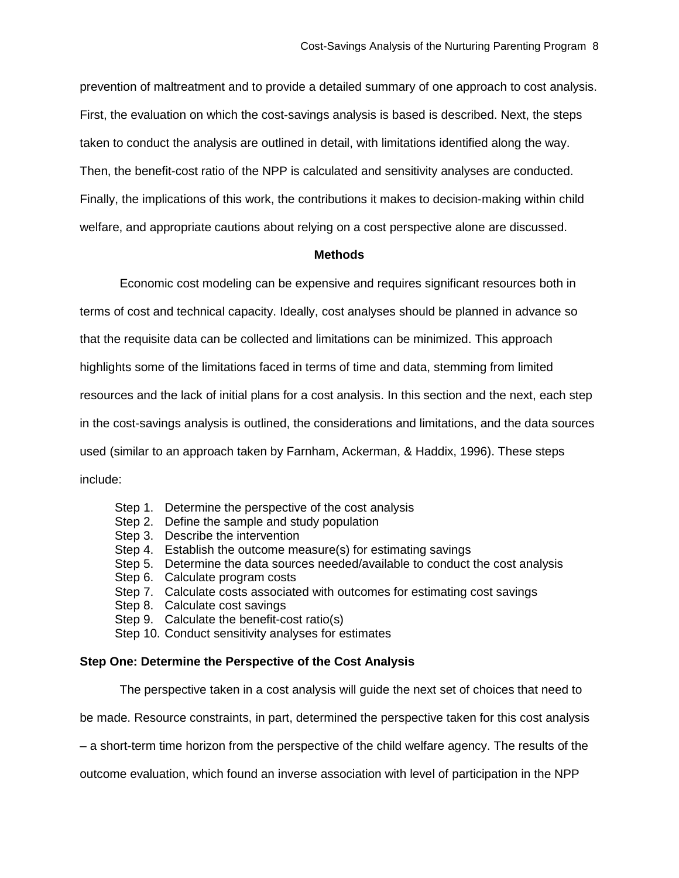prevention of maltreatment and to provide a detailed summary of one approach to cost analysis. First, the evaluation on which the cost-savings analysis is based is described. Next, the steps taken to conduct the analysis are outlined in detail, with limitations identified along the way. Then, the benefit-cost ratio of the NPP is calculated and sensitivity analyses are conducted. Finally, the implications of this work, the contributions it makes to decision-making within child welfare, and appropriate cautions about relying on a cost perspective alone are discussed.

# **Methods**

Economic cost modeling can be expensive and requires significant resources both in terms of cost and technical capacity. Ideally, cost analyses should be planned in advance so that the requisite data can be collected and limitations can be minimized. This approach highlights some of the limitations faced in terms of time and data, stemming from limited resources and the lack of initial plans for a cost analysis. In this section and the next, each step in the cost-savings analysis is outlined, the considerations and limitations, and the data sources used (similar to an approach taken by Farnham, Ackerman, & Haddix, 1996). These steps include:

- Step 1. Determine the perspective of the cost analysis
- Step 2. Define the sample and study population
- Step 3. Describe the intervention
- Step 4. Establish the outcome measure(s) for estimating savings
- Step 5. Determine the data sources needed/available to conduct the cost analysis
- Step 6. Calculate program costs
- Step 7. Calculate costs associated with outcomes for estimating cost savings
- Step 8. Calculate cost savings
- Step 9. Calculate the benefit-cost ratio(s)
- Step 10. Conduct sensitivity analyses for estimates

#### **Step One: Determine the Perspective of the Cost Analysis**

The perspective taken in a cost analysis will guide the next set of choices that need to

be made. Resource constraints, in part, determined the perspective taken for this cost analysis

– a short-term time horizon from the perspective of the child welfare agency. The results of the

outcome evaluation, which found an inverse association with level of participation in the NPP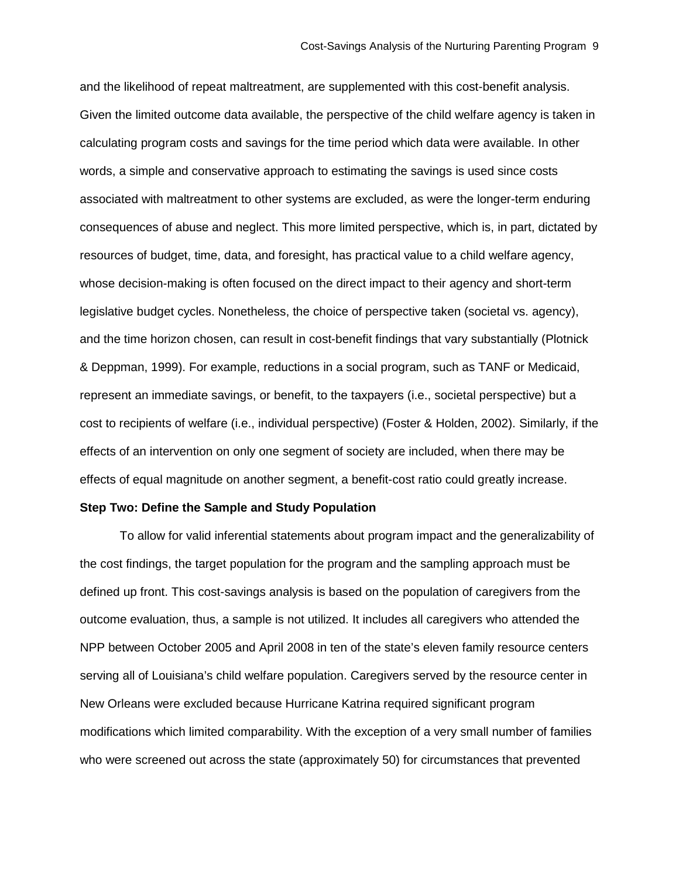and the likelihood of repeat maltreatment, are supplemented with this cost-benefit analysis. Given the limited outcome data available, the perspective of the child welfare agency is taken in calculating program costs and savings for the time period which data were available. In other words, a simple and conservative approach to estimating the savings is used since costs associated with maltreatment to other systems are excluded, as were the longer-term enduring consequences of abuse and neglect. This more limited perspective, which is, in part, dictated by resources of budget, time, data, and foresight, has practical value to a child welfare agency, whose decision-making is often focused on the direct impact to their agency and short-term legislative budget cycles. Nonetheless, the choice of perspective taken (societal vs. agency), and the time horizon chosen, can result in cost-benefit findings that vary substantially (Plotnick & Deppman, 1999). For example, reductions in a social program, such as TANF or Medicaid, represent an immediate savings, or benefit, to the taxpayers (i.e., societal perspective) but a cost to recipients of welfare (i.e., individual perspective) (Foster & Holden, 2002). Similarly, if the effects of an intervention on only one segment of society are included, when there may be effects of equal magnitude on another segment, a benefit-cost ratio could greatly increase.

# **Step Two: Define the Sample and Study Population**

To allow for valid inferential statements about program impact and the generalizability of the cost findings, the target population for the program and the sampling approach must be defined up front. This cost-savings analysis is based on the population of caregivers from the outcome evaluation, thus, a sample is not utilized. It includes all caregivers who attended the NPP between October 2005 and April 2008 in ten of the state's eleven family resource centers serving all of Louisiana's child welfare population. Caregivers served by the resource center in New Orleans were excluded because Hurricane Katrina required significant program modifications which limited comparability. With the exception of a very small number of families who were screened out across the state (approximately 50) for circumstances that prevented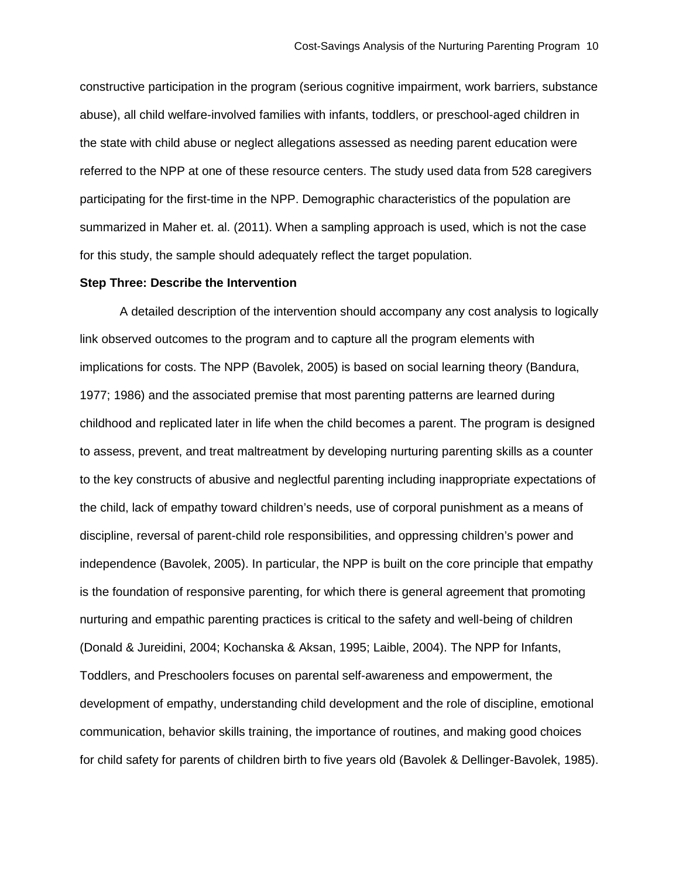constructive participation in the program (serious cognitive impairment, work barriers, substance abuse), all child welfare-involved families with infants, toddlers, or preschool-aged children in the state with child abuse or neglect allegations assessed as needing parent education were referred to the NPP at one of these resource centers. The study used data from 528 caregivers participating for the first-time in the NPP. Demographic characteristics of the population are summarized in Maher et. al. (2011). When a sampling approach is used, which is not the case for this study, the sample should adequately reflect the target population.

### **Step Three: Describe the Intervention**

A detailed description of the intervention should accompany any cost analysis to logically link observed outcomes to the program and to capture all the program elements with implications for costs. The NPP (Bavolek, 2005) is based on social learning theory (Bandura, 1977; 1986) and the associated premise that most parenting patterns are learned during childhood and replicated later in life when the child becomes a parent. The program is designed to assess, prevent, and treat maltreatment by developing nurturing parenting skills as a counter to the key constructs of abusive and neglectful parenting including inappropriate expectations of the child, lack of empathy toward children's needs, use of corporal punishment as a means of discipline, reversal of parent-child role responsibilities, and oppressing children's power and independence (Bavolek, 2005). In particular, the NPP is built on the core principle that empathy is the foundation of responsive parenting, for which there is general agreement that promoting nurturing and empathic parenting practices is critical to the safety and well-being of children (Donald & Jureidini, 2004; Kochanska & Aksan, 1995; Laible, 2004). The NPP for Infants, Toddlers, and Preschoolers focuses on parental self-awareness and empowerment, the development of empathy, understanding child development and the role of discipline, emotional communication, behavior skills training, the importance of routines, and making good choices for child safety for parents of children birth to five years old (Bavolek & Dellinger-Bavolek, 1985).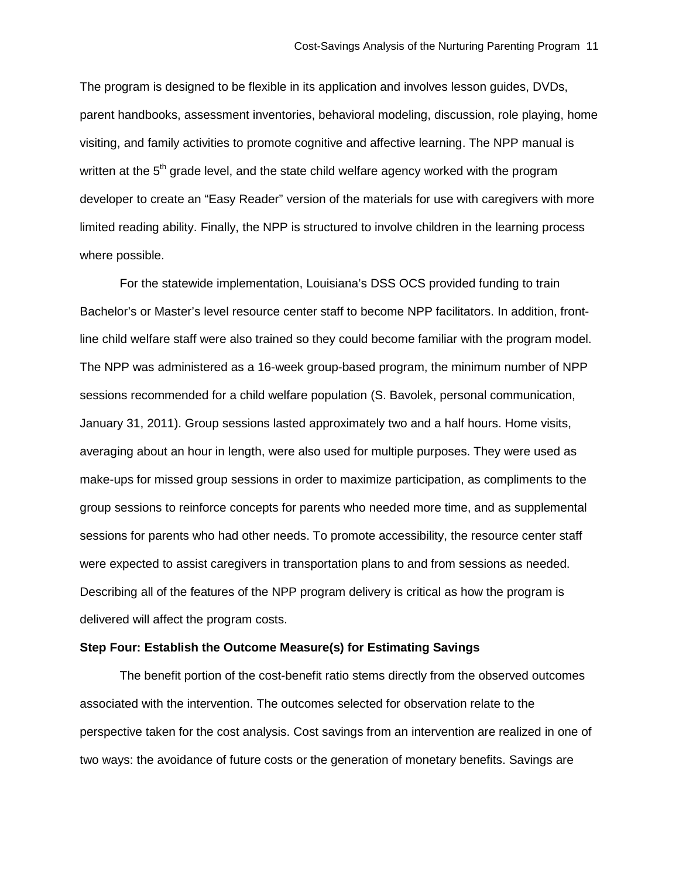The program is designed to be flexible in its application and involves lesson guides, DVDs, parent handbooks, assessment inventories, behavioral modeling, discussion, role playing, home visiting, and family activities to promote cognitive and affective learning. The NPP manual is written at the 5<sup>th</sup> grade level, and the state child welfare agency worked with the program developer to create an "Easy Reader" version of the materials for use with caregivers with more limited reading ability. Finally, the NPP is structured to involve children in the learning process where possible.

For the statewide implementation, Louisiana's DSS OCS provided funding to train Bachelor's or Master's level resource center staff to become NPP facilitators. In addition, frontline child welfare staff were also trained so they could become familiar with the program model. The NPP was administered as a 16-week group-based program, the minimum number of NPP sessions recommended for a child welfare population (S. Bavolek, personal communication, January 31, 2011). Group sessions lasted approximately two and a half hours. Home visits, averaging about an hour in length, were also used for multiple purposes. They were used as make-ups for missed group sessions in order to maximize participation, as compliments to the group sessions to reinforce concepts for parents who needed more time, and as supplemental sessions for parents who had other needs. To promote accessibility, the resource center staff were expected to assist caregivers in transportation plans to and from sessions as needed. Describing all of the features of the NPP program delivery is critical as how the program is delivered will affect the program costs.

# **Step Four: Establish the Outcome Measure(s) for Estimating Savings**

The benefit portion of the cost-benefit ratio stems directly from the observed outcomes associated with the intervention. The outcomes selected for observation relate to the perspective taken for the cost analysis. Cost savings from an intervention are realized in one of two ways: the avoidance of future costs or the generation of monetary benefits. Savings are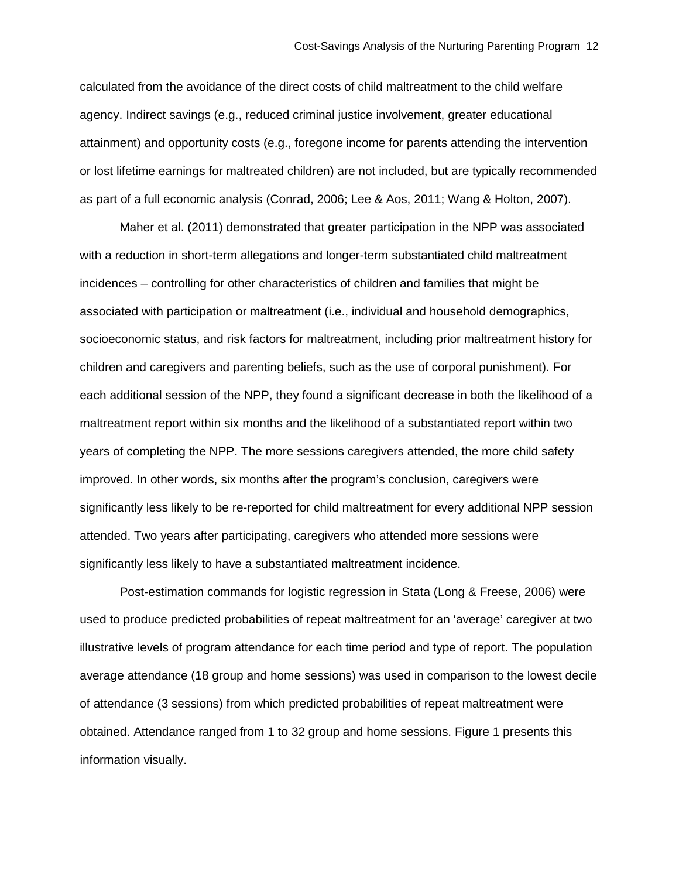calculated from the avoidance of the direct costs of child maltreatment to the child welfare agency. Indirect savings (e.g., reduced criminal justice involvement, greater educational attainment) and opportunity costs (e.g., foregone income for parents attending the intervention or lost lifetime earnings for maltreated children) are not included, but are typically recommended as part of a full economic analysis (Conrad, 2006; Lee & Aos, 2011; Wang & Holton, 2007).

Maher et al. (2011) demonstrated that greater participation in the NPP was associated with a reduction in short-term allegations and longer-term substantiated child maltreatment incidences – controlling for other characteristics of children and families that might be associated with participation or maltreatment (i.e., individual and household demographics, socioeconomic status, and risk factors for maltreatment, including prior maltreatment history for children and caregivers and parenting beliefs, such as the use of corporal punishment). For each additional session of the NPP, they found a significant decrease in both the likelihood of a maltreatment report within six months and the likelihood of a substantiated report within two years of completing the NPP. The more sessions caregivers attended, the more child safety improved. In other words, six months after the program's conclusion, caregivers were significantly less likely to be re-reported for child maltreatment for every additional NPP session attended. Two years after participating, caregivers who attended more sessions were significantly less likely to have a substantiated maltreatment incidence.

Post-estimation commands for logistic regression in Stata (Long & Freese, 2006) were used to produce predicted probabilities of repeat maltreatment for an 'average' caregiver at two illustrative levels of program attendance for each time period and type of report. The population average attendance (18 group and home sessions) was used in comparison to the lowest decile of attendance (3 sessions) from which predicted probabilities of repeat maltreatment were obtained. Attendance ranged from 1 to 32 group and home sessions. Figure 1 presents this information visually.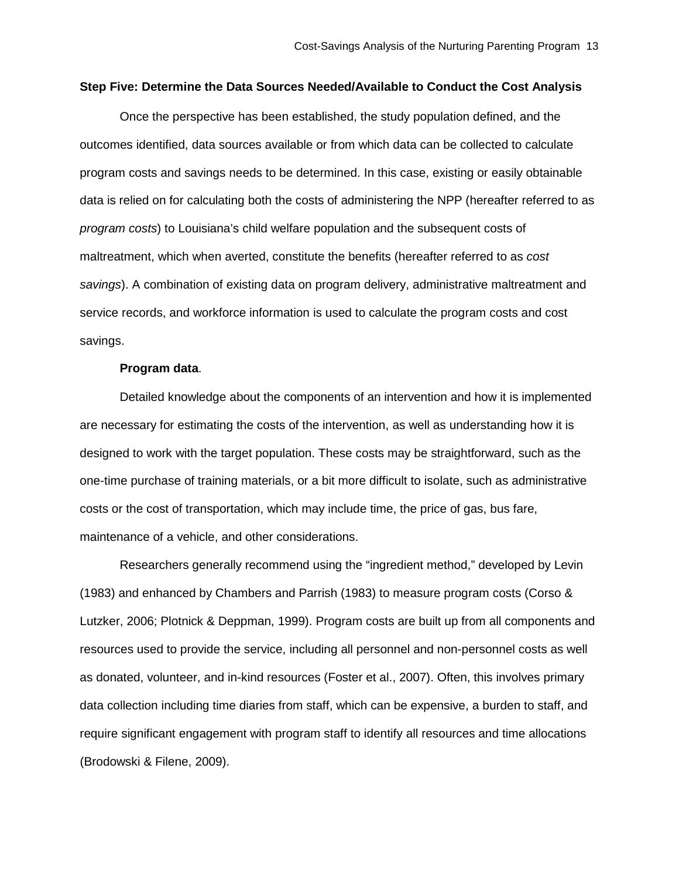# **Step Five: Determine the Data Sources Needed/Available to Conduct the Cost Analysis**

Once the perspective has been established, the study population defined, and the outcomes identified, data sources available or from which data can be collected to calculate program costs and savings needs to be determined. In this case, existing or easily obtainable data is relied on for calculating both the costs of administering the NPP (hereafter referred to as *program costs*) to Louisiana's child welfare population and the subsequent costs of maltreatment, which when averted, constitute the benefits (hereafter referred to as *cost savings*). A combination of existing data on program delivery, administrative maltreatment and service records, and workforce information is used to calculate the program costs and cost savings.

#### **Program data**.

Detailed knowledge about the components of an intervention and how it is implemented are necessary for estimating the costs of the intervention, as well as understanding how it is designed to work with the target population. These costs may be straightforward, such as the one-time purchase of training materials, or a bit more difficult to isolate, such as administrative costs or the cost of transportation, which may include time, the price of gas, bus fare, maintenance of a vehicle, and other considerations.

Researchers generally recommend using the "ingredient method," developed by Levin (1983) and enhanced by Chambers and Parrish (1983) to measure program costs (Corso & Lutzker, 2006; Plotnick & Deppman, 1999). Program costs are built up from all components and resources used to provide the service, including all personnel and non-personnel costs as well as donated, volunteer, and in-kind resources (Foster et al., 2007). Often, this involves primary data collection including time diaries from staff, which can be expensive, a burden to staff, and require significant engagement with program staff to identify all resources and time allocations (Brodowski & Filene, 2009).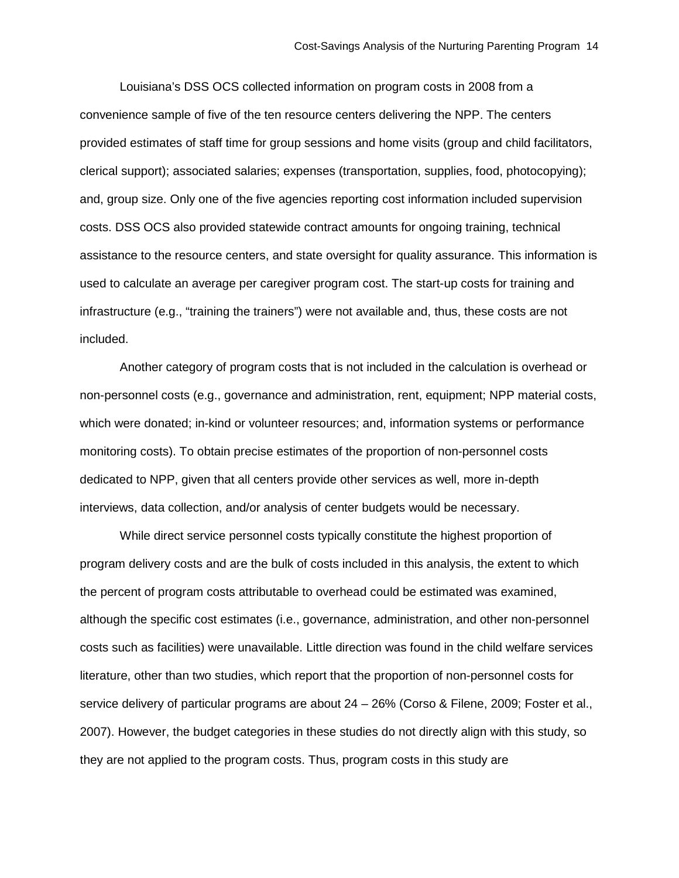Louisiana's DSS OCS collected information on program costs in 2008 from a convenience sample of five of the ten resource centers delivering the NPP. The centers provided estimates of staff time for group sessions and home visits (group and child facilitators, clerical support); associated salaries; expenses (transportation, supplies, food, photocopying); and, group size. Only one of the five agencies reporting cost information included supervision costs. DSS OCS also provided statewide contract amounts for ongoing training, technical assistance to the resource centers, and state oversight for quality assurance. This information is used to calculate an average per caregiver program cost. The start-up costs for training and infrastructure (e.g., "training the trainers") were not available and, thus, these costs are not included.

Another category of program costs that is not included in the calculation is overhead or non-personnel costs (e.g., governance and administration, rent, equipment; NPP material costs, which were donated; in-kind or volunteer resources; and, information systems or performance monitoring costs). To obtain precise estimates of the proportion of non-personnel costs dedicated to NPP, given that all centers provide other services as well, more in-depth interviews, data collection, and/or analysis of center budgets would be necessary.

While direct service personnel costs typically constitute the highest proportion of program delivery costs and are the bulk of costs included in this analysis, the extent to which the percent of program costs attributable to overhead could be estimated was examined, although the specific cost estimates (i.e., governance, administration, and other non-personnel costs such as facilities) were unavailable. Little direction was found in the child welfare services literature, other than two studies, which report that the proportion of non-personnel costs for service delivery of particular programs are about 24 – 26% (Corso & Filene, 2009; Foster et al., 2007). However, the budget categories in these studies do not directly align with this study, so they are not applied to the program costs. Thus, program costs in this study are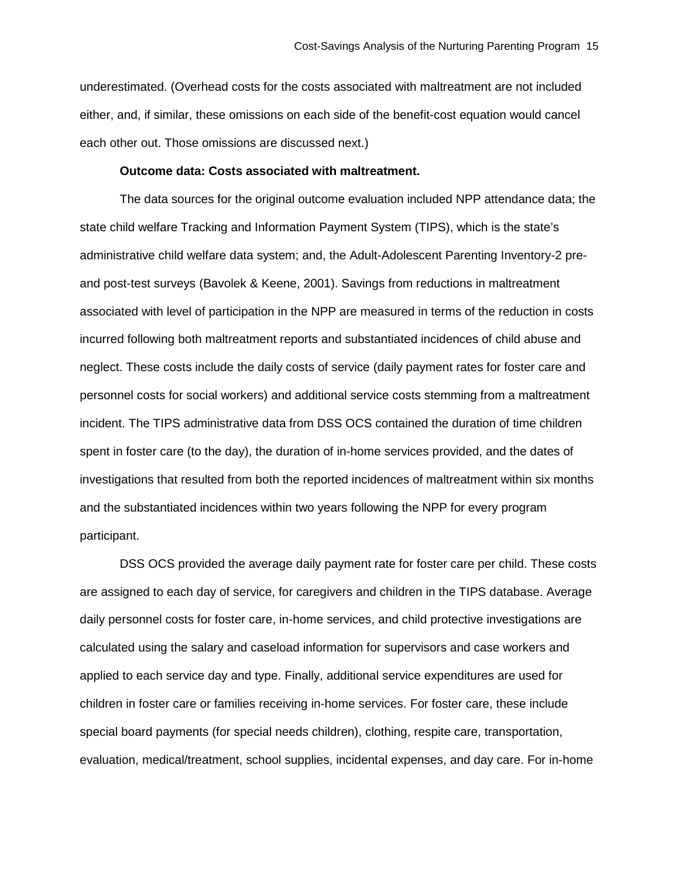underestimated. (Overhead costs for the costs associated with maltreatment are not included either, and, if similar, these omissions on each side of the benefit-cost equation would cancel each other out. Those omissions are discussed next.)

# **Outcome data: Costs associated with maltreatment.**

The data sources for the original outcome evaluation included NPP attendance data; the state child welfare Tracking and Information Payment System (TIPS), which is the state's administrative child welfare data system; and, the Adult-Adolescent Parenting Inventory-2 preand post-test surveys (Bavolek & Keene, 2001). Savings from reductions in maltreatment associated with level of participation in the NPP are measured in terms of the reduction in costs incurred following both maltreatment reports and substantiated incidences of child abuse and neglect. These costs include the daily costs of service (daily payment rates for foster care and personnel costs for social workers) and additional service costs stemming from a maltreatment incident. The TIPS administrative data from DSS OCS contained the duration of time children spent in foster care (to the day), the duration of in-home services provided, and the dates of investigations that resulted from both the reported incidences of maltreatment within six months and the substantiated incidences within two years following the NPP for every program participant.

DSS OCS provided the average daily payment rate for foster care per child. These costs are assigned to each day of service, for caregivers and children in the TIPS database. Average daily personnel costs for foster care, in-home services, and child protective investigations are calculated using the salary and caseload information for supervisors and case workers and applied to each service day and type. Finally, additional service expenditures are used for children in foster care or families receiving in-home services. For foster care, these include special board payments (for special needs children), clothing, respite care, transportation, evaluation, medical/treatment, school supplies, incidental expenses, and day care. For in-home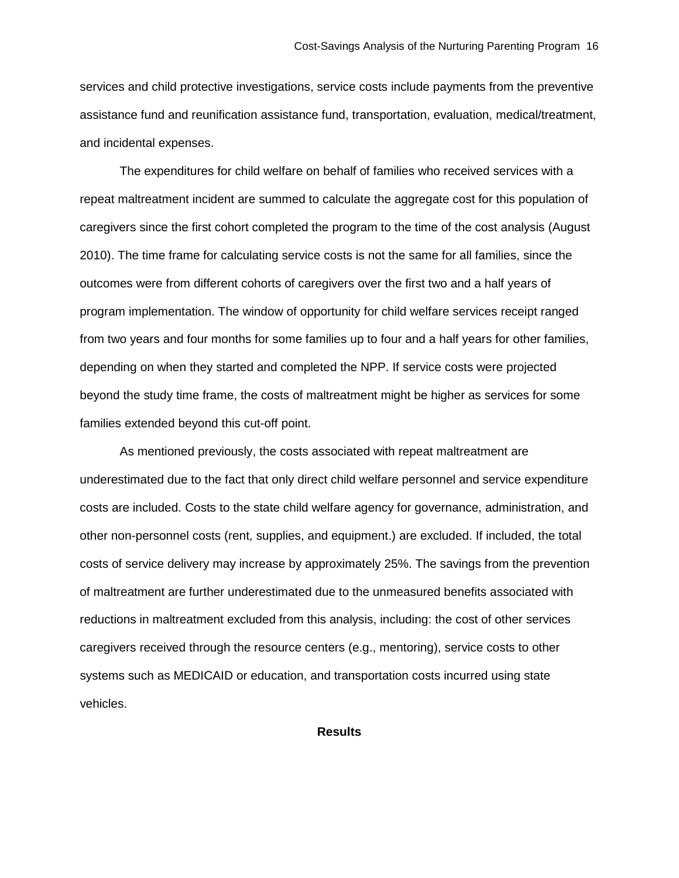services and child protective investigations, service costs include payments from the preventive assistance fund and reunification assistance fund, transportation, evaluation, medical/treatment, and incidental expenses.

The expenditures for child welfare on behalf of families who received services with a repeat maltreatment incident are summed to calculate the aggregate cost for this population of caregivers since the first cohort completed the program to the time of the cost analysis (August 2010). The time frame for calculating service costs is not the same for all families, since the outcomes were from different cohorts of caregivers over the first two and a half years of program implementation. The window of opportunity for child welfare services receipt ranged from two years and four months for some families up to four and a half years for other families, depending on when they started and completed the NPP. If service costs were projected beyond the study time frame, the costs of maltreatment might be higher as services for some families extended beyond this cut-off point.

As mentioned previously, the costs associated with repeat maltreatment are underestimated due to the fact that only direct child welfare personnel and service expenditure costs are included. Costs to the state child welfare agency for governance, administration, and other non-personnel costs (rent, supplies, and equipment.) are excluded. If included, the total costs of service delivery may increase by approximately 25%. The savings from the prevention of maltreatment are further underestimated due to the unmeasured benefits associated with reductions in maltreatment excluded from this analysis, including: the cost of other services caregivers received through the resource centers (e.g., mentoring), service costs to other systems such as MEDICAID or education, and transportation costs incurred using state vehicles.

**Results**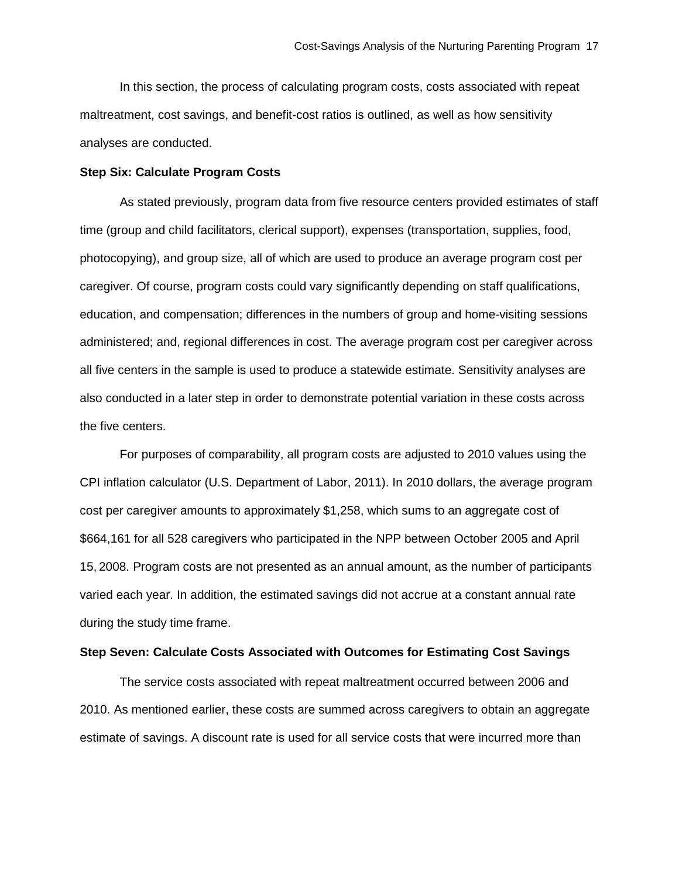In this section, the process of calculating program costs, costs associated with repeat maltreatment, cost savings, and benefit-cost ratios is outlined, as well as how sensitivity analyses are conducted.

### **Step Six: Calculate Program Costs**

As stated previously, program data from five resource centers provided estimates of staff time (group and child facilitators, clerical support), expenses (transportation, supplies, food, photocopying), and group size, all of which are used to produce an average program cost per caregiver. Of course, program costs could vary significantly depending on staff qualifications, education, and compensation; differences in the numbers of group and home-visiting sessions administered; and, regional differences in cost. The average program cost per caregiver across all five centers in the sample is used to produce a statewide estimate. Sensitivity analyses are also conducted in a later step in order to demonstrate potential variation in these costs across the five centers.

For purposes of comparability, all program costs are adjusted to 2010 values using the CPI inflation calculator (U.S. Department of Labor, 2011). In 2010 dollars, the average program cost per caregiver amounts to approximately \$1,258, which sums to an aggregate cost of \$664,161 for all 528 caregivers who participated in the NPP between October 2005 and April 15, 2008. Program costs are not presented as an annual amount, as the number of participants varied each year. In addition, the estimated savings did not accrue at a constant annual rate during the study time frame.

# **Step Seven: Calculate Costs Associated with Outcomes for Estimating Cost Savings**

The service costs associated with repeat maltreatment occurred between 2006 and 2010. As mentioned earlier, these costs are summed across caregivers to obtain an aggregate estimate of savings. A discount rate is used for all service costs that were incurred more than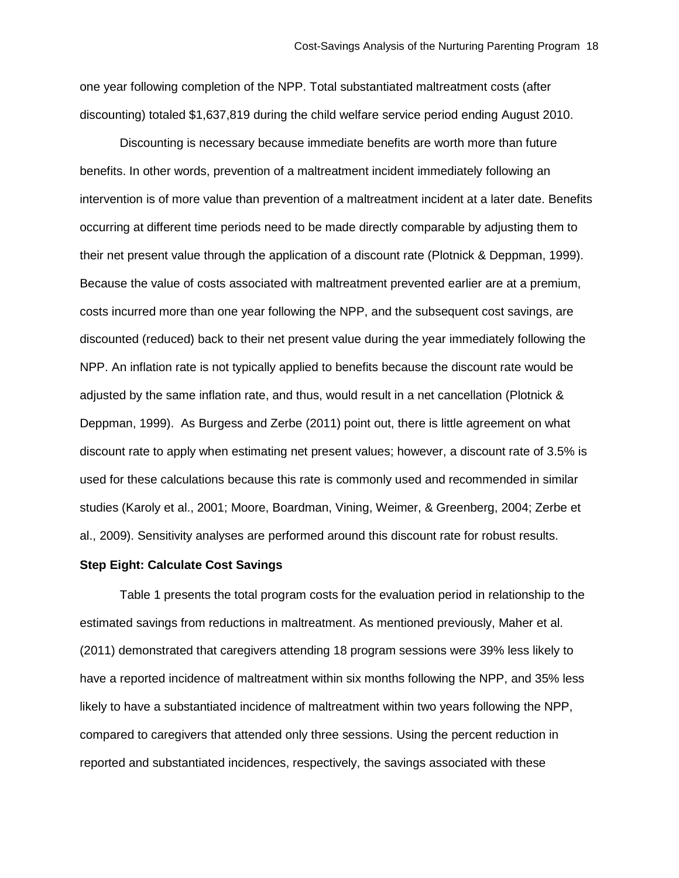one year following completion of the NPP. Total substantiated maltreatment costs (after discounting) totaled \$1,637,819 during the child welfare service period ending August 2010.

Discounting is necessary because immediate benefits are worth more than future benefits. In other words, prevention of a maltreatment incident immediately following an intervention is of more value than prevention of a maltreatment incident at a later date. Benefits occurring at different time periods need to be made directly comparable by adjusting them to their net present value through the application of a discount rate (Plotnick & Deppman, 1999). Because the value of costs associated with maltreatment prevented earlier are at a premium, costs incurred more than one year following the NPP, and the subsequent cost savings, are discounted (reduced) back to their net present value during the year immediately following the NPP. An inflation rate is not typically applied to benefits because the discount rate would be adjusted by the same inflation rate, and thus, would result in a net cancellation (Plotnick & Deppman, 1999). As Burgess and Zerbe (2011) point out, there is little agreement on what discount rate to apply when estimating net present values; however, a discount rate of 3.5% is used for these calculations because this rate is commonly used and recommended in similar studies (Karoly et al., 2001; Moore, Boardman, Vining, Weimer, & Greenberg, 2004; Zerbe et al., 2009). Sensitivity analyses are performed around this discount rate for robust results.

# **Step Eight: Calculate Cost Savings**

Table 1 presents the total program costs for the evaluation period in relationship to the estimated savings from reductions in maltreatment. As mentioned previously, Maher et al. (2011) demonstrated that caregivers attending 18 program sessions were 39% less likely to have a reported incidence of maltreatment within six months following the NPP, and 35% less likely to have a substantiated incidence of maltreatment within two years following the NPP, compared to caregivers that attended only three sessions. Using the percent reduction in reported and substantiated incidences, respectively, the savings associated with these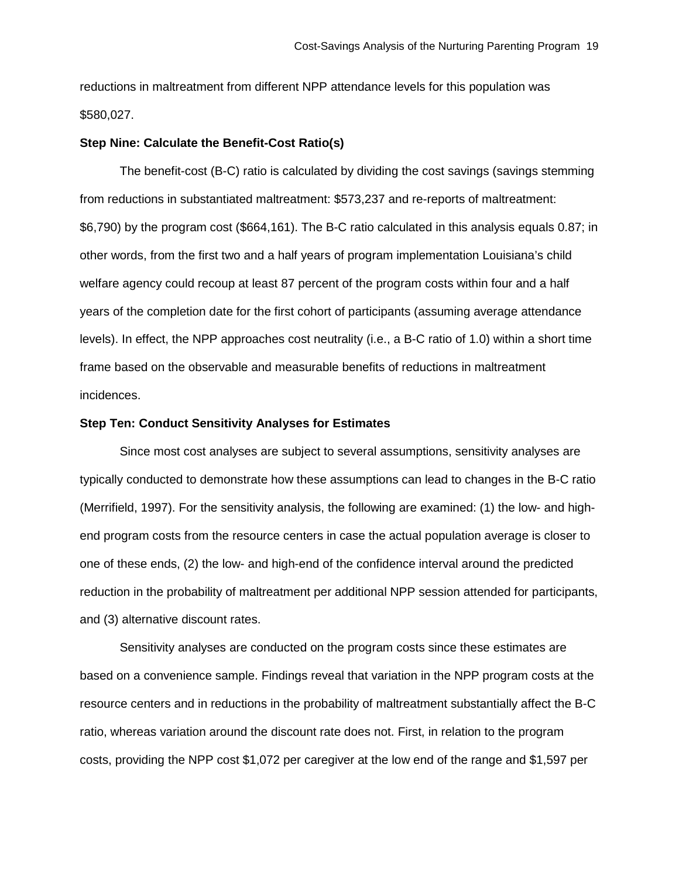reductions in maltreatment from different NPP attendance levels for this population was \$580,027.

# **Step Nine: Calculate the Benefit-Cost Ratio(s)**

The benefit-cost (B-C) ratio is calculated by dividing the cost savings (savings stemming from reductions in substantiated maltreatment: \$573,237 and re-reports of maltreatment: \$6,790) by the program cost (\$664,161). The B-C ratio calculated in this analysis equals 0.87; in other words, from the first two and a half years of program implementation Louisiana's child welfare agency could recoup at least 87 percent of the program costs within four and a half years of the completion date for the first cohort of participants (assuming average attendance levels). In effect, the NPP approaches cost neutrality (i.e., a B-C ratio of 1.0) within a short time frame based on the observable and measurable benefits of reductions in maltreatment incidences.

# **Step Ten: Conduct Sensitivity Analyses for Estimates**

Since most cost analyses are subject to several assumptions, sensitivity analyses are typically conducted to demonstrate how these assumptions can lead to changes in the B-C ratio (Merrifield, 1997). For the sensitivity analysis, the following are examined: (1) the low- and highend program costs from the resource centers in case the actual population average is closer to one of these ends, (2) the low- and high-end of the confidence interval around the predicted reduction in the probability of maltreatment per additional NPP session attended for participants, and (3) alternative discount rates.

Sensitivity analyses are conducted on the program costs since these estimates are based on a convenience sample. Findings reveal that variation in the NPP program costs at the resource centers and in reductions in the probability of maltreatment substantially affect the B-C ratio, whereas variation around the discount rate does not. First, in relation to the program costs, providing the NPP cost \$1,072 per caregiver at the low end of the range and \$1,597 per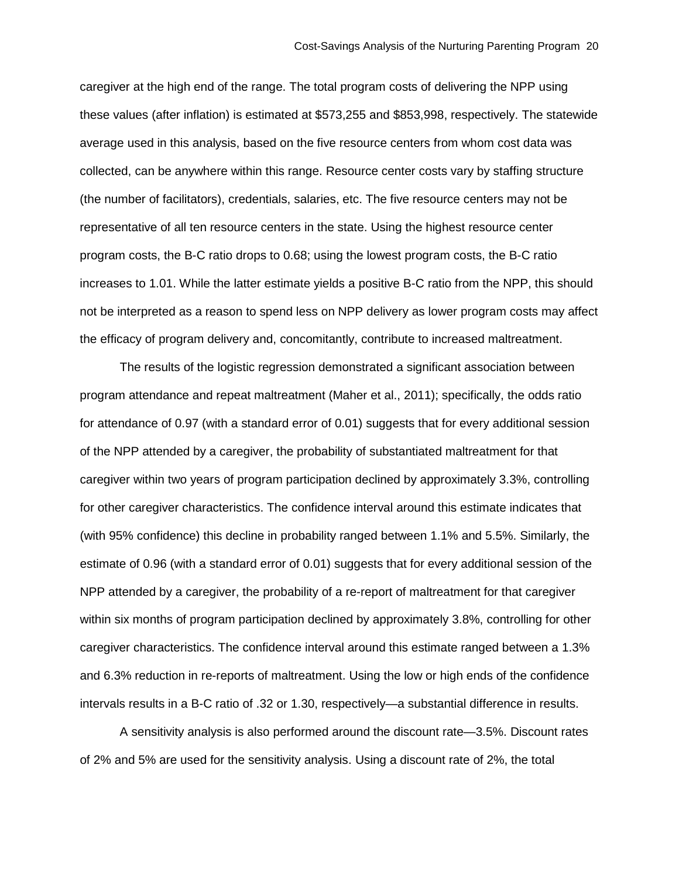caregiver at the high end of the range. The total program costs of delivering the NPP using these values (after inflation) is estimated at \$573,255 and \$853,998, respectively. The statewide average used in this analysis, based on the five resource centers from whom cost data was collected, can be anywhere within this range. Resource center costs vary by staffing structure (the number of facilitators), credentials, salaries, etc. The five resource centers may not be representative of all ten resource centers in the state. Using the highest resource center program costs, the B-C ratio drops to 0.68; using the lowest program costs, the B-C ratio increases to 1.01. While the latter estimate yields a positive B-C ratio from the NPP, this should not be interpreted as a reason to spend less on NPP delivery as lower program costs may affect the efficacy of program delivery and, concomitantly, contribute to increased maltreatment.

The results of the logistic regression demonstrated a significant association between program attendance and repeat maltreatment (Maher et al., 2011); specifically, the odds ratio for attendance of 0.97 (with a standard error of 0.01) suggests that for every additional session of the NPP attended by a caregiver, the probability of substantiated maltreatment for that caregiver within two years of program participation declined by approximately 3.3%, controlling for other caregiver characteristics. The confidence interval around this estimate indicates that (with 95% confidence) this decline in probability ranged between 1.1% and 5.5%. Similarly, the estimate of 0.96 (with a standard error of 0.01) suggests that for every additional session of the NPP attended by a caregiver, the probability of a re-report of maltreatment for that caregiver within six months of program participation declined by approximately 3.8%, controlling for other caregiver characteristics. The confidence interval around this estimate ranged between a 1.3% and 6.3% reduction in re-reports of maltreatment. Using the low or high ends of the confidence intervals results in a B-C ratio of .32 or 1.30, respectively—a substantial difference in results.

A sensitivity analysis is also performed around the discount rate—3.5%. Discount rates of 2% and 5% are used for the sensitivity analysis. Using a discount rate of 2%, the total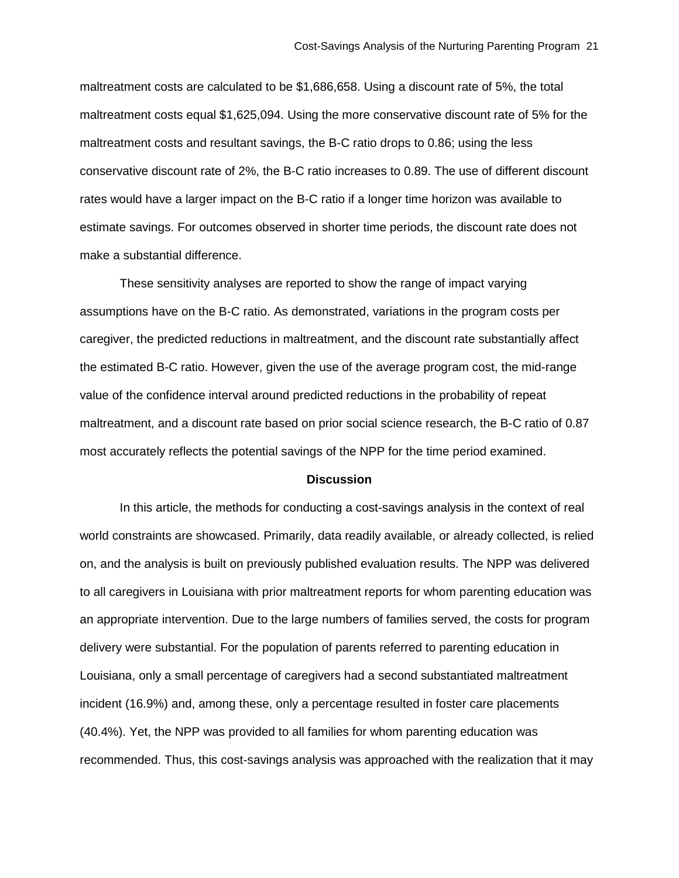maltreatment costs are calculated to be \$1,686,658. Using a discount rate of 5%, the total maltreatment costs equal \$1,625,094. Using the more conservative discount rate of 5% for the maltreatment costs and resultant savings, the B-C ratio drops to 0.86; using the less conservative discount rate of 2%, the B-C ratio increases to 0.89. The use of different discount rates would have a larger impact on the B-C ratio if a longer time horizon was available to estimate savings. For outcomes observed in shorter time periods, the discount rate does not make a substantial difference.

These sensitivity analyses are reported to show the range of impact varying assumptions have on the B-C ratio. As demonstrated, variations in the program costs per caregiver, the predicted reductions in maltreatment, and the discount rate substantially affect the estimated B-C ratio. However, given the use of the average program cost, the mid-range value of the confidence interval around predicted reductions in the probability of repeat maltreatment, and a discount rate based on prior social science research, the B-C ratio of 0.87 most accurately reflects the potential savings of the NPP for the time period examined.

#### **Discussion**

In this article, the methods for conducting a cost-savings analysis in the context of real world constraints are showcased. Primarily, data readily available, or already collected, is relied on, and the analysis is built on previously published evaluation results. The NPP was delivered to all caregivers in Louisiana with prior maltreatment reports for whom parenting education was an appropriate intervention. Due to the large numbers of families served, the costs for program delivery were substantial. For the population of parents referred to parenting education in Louisiana, only a small percentage of caregivers had a second substantiated maltreatment incident (16.9%) and, among these, only a percentage resulted in foster care placements (40.4%). Yet, the NPP was provided to all families for whom parenting education was recommended. Thus, this cost-savings analysis was approached with the realization that it may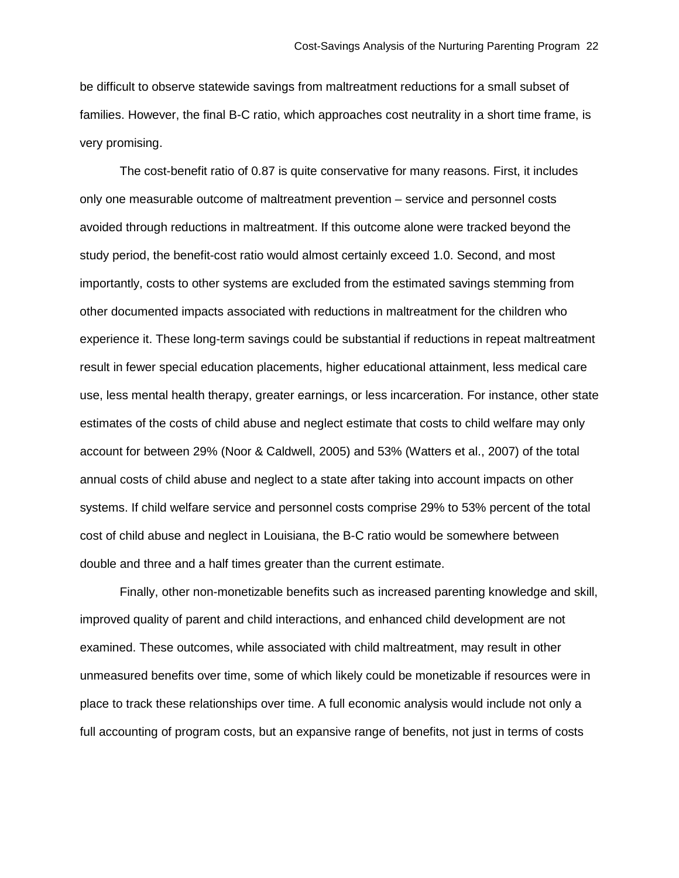be difficult to observe statewide savings from maltreatment reductions for a small subset of families. However, the final B-C ratio, which approaches cost neutrality in a short time frame, is very promising.

The cost-benefit ratio of 0.87 is quite conservative for many reasons. First, it includes only one measurable outcome of maltreatment prevention – service and personnel costs avoided through reductions in maltreatment. If this outcome alone were tracked beyond the study period, the benefit-cost ratio would almost certainly exceed 1.0. Second, and most importantly, costs to other systems are excluded from the estimated savings stemming from other documented impacts associated with reductions in maltreatment for the children who experience it. These long-term savings could be substantial if reductions in repeat maltreatment result in fewer special education placements, higher educational attainment, less medical care use, less mental health therapy, greater earnings, or less incarceration. For instance, other state estimates of the costs of child abuse and neglect estimate that costs to child welfare may only account for between 29% (Noor & Caldwell, 2005) and 53% (Watters et al., 2007) of the total annual costs of child abuse and neglect to a state after taking into account impacts on other systems. If child welfare service and personnel costs comprise 29% to 53% percent of the total cost of child abuse and neglect in Louisiana, the B-C ratio would be somewhere between double and three and a half times greater than the current estimate.

Finally, other non-monetizable benefits such as increased parenting knowledge and skill, improved quality of parent and child interactions, and enhanced child development are not examined. These outcomes, while associated with child maltreatment, may result in other unmeasured benefits over time, some of which likely could be monetizable if resources were in place to track these relationships over time. A full economic analysis would include not only a full accounting of program costs, but an expansive range of benefits, not just in terms of costs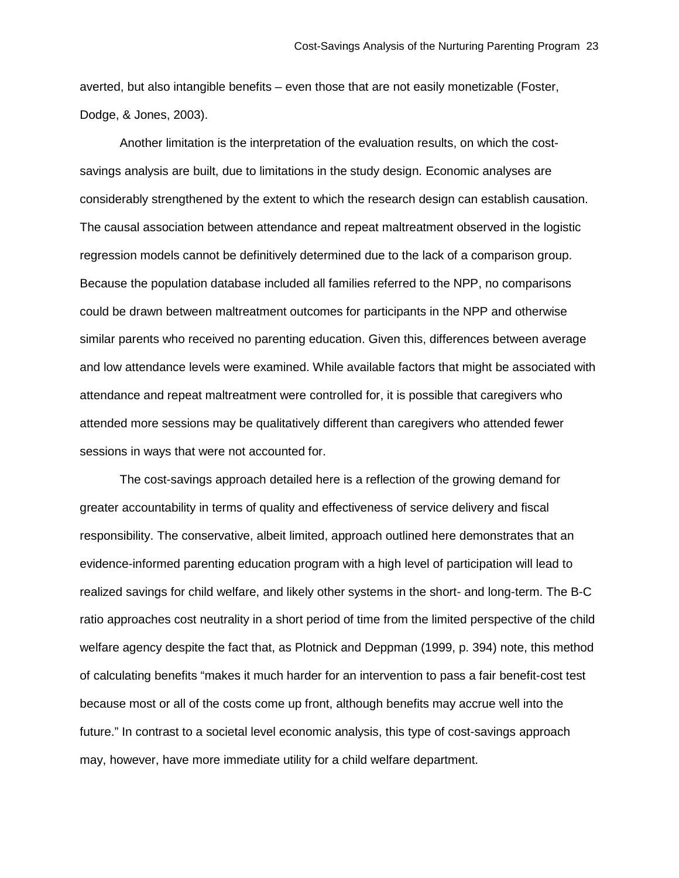averted, but also intangible benefits – even those that are not easily monetizable (Foster, Dodge, & Jones, 2003).

Another limitation is the interpretation of the evaluation results, on which the costsavings analysis are built, due to limitations in the study design. Economic analyses are considerably strengthened by the extent to which the research design can establish causation. The causal association between attendance and repeat maltreatment observed in the logistic regression models cannot be definitively determined due to the lack of a comparison group. Because the population database included all families referred to the NPP, no comparisons could be drawn between maltreatment outcomes for participants in the NPP and otherwise similar parents who received no parenting education. Given this, differences between average and low attendance levels were examined. While available factors that might be associated with attendance and repeat maltreatment were controlled for, it is possible that caregivers who attended more sessions may be qualitatively different than caregivers who attended fewer sessions in ways that were not accounted for.

The cost-savings approach detailed here is a reflection of the growing demand for greater accountability in terms of quality and effectiveness of service delivery and fiscal responsibility. The conservative, albeit limited, approach outlined here demonstrates that an evidence-informed parenting education program with a high level of participation will lead to realized savings for child welfare, and likely other systems in the short- and long-term. The B-C ratio approaches cost neutrality in a short period of time from the limited perspective of the child welfare agency despite the fact that, as Plotnick and Deppman (1999, p. 394) note, this method of calculating benefits "makes it much harder for an intervention to pass a fair benefit-cost test because most or all of the costs come up front, although benefits may accrue well into the future." In contrast to a societal level economic analysis, this type of cost-savings approach may, however, have more immediate utility for a child welfare department.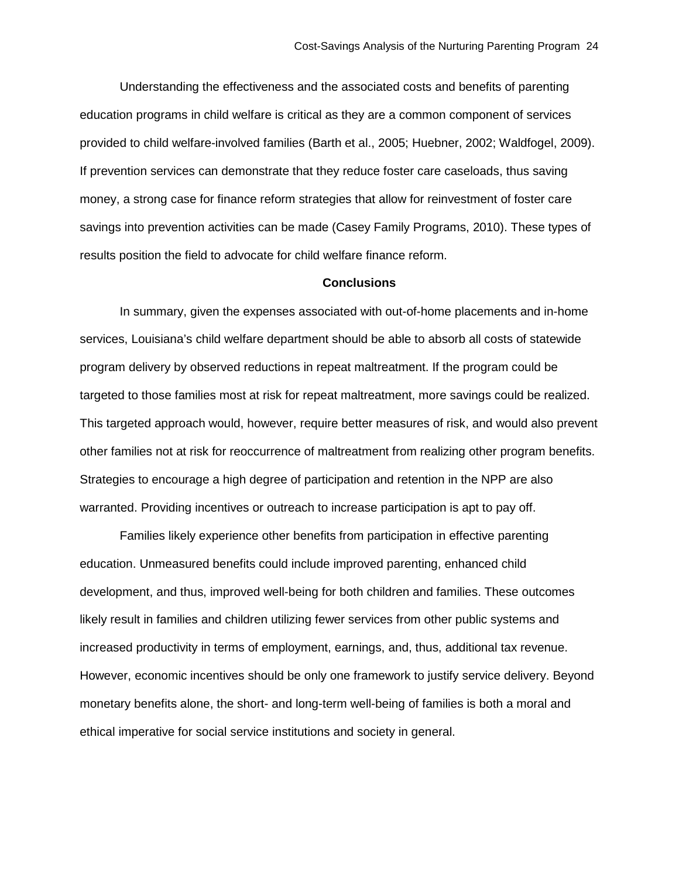Understanding the effectiveness and the associated costs and benefits of parenting education programs in child welfare is critical as they are a common component of services provided to child welfare-involved families (Barth et al., 2005; Huebner, 2002; Waldfogel, 2009). If prevention services can demonstrate that they reduce foster care caseloads, thus saving money, a strong case for finance reform strategies that allow for reinvestment of foster care savings into prevention activities can be made (Casey Family Programs, 2010). These types of results position the field to advocate for child welfare finance reform.

#### **Conclusions**

In summary, given the expenses associated with out-of-home placements and in-home services, Louisiana's child welfare department should be able to absorb all costs of statewide program delivery by observed reductions in repeat maltreatment. If the program could be targeted to those families most at risk for repeat maltreatment, more savings could be realized. This targeted approach would, however, require better measures of risk, and would also prevent other families not at risk for reoccurrence of maltreatment from realizing other program benefits. Strategies to encourage a high degree of participation and retention in the NPP are also warranted. Providing incentives or outreach to increase participation is apt to pay off.

Families likely experience other benefits from participation in effective parenting education. Unmeasured benefits could include improved parenting, enhanced child development, and thus, improved well-being for both children and families. These outcomes likely result in families and children utilizing fewer services from other public systems and increased productivity in terms of employment, earnings, and, thus, additional tax revenue. However, economic incentives should be only one framework to justify service delivery. Beyond monetary benefits alone, the short- and long-term well-being of families is both a moral and ethical imperative for social service institutions and society in general.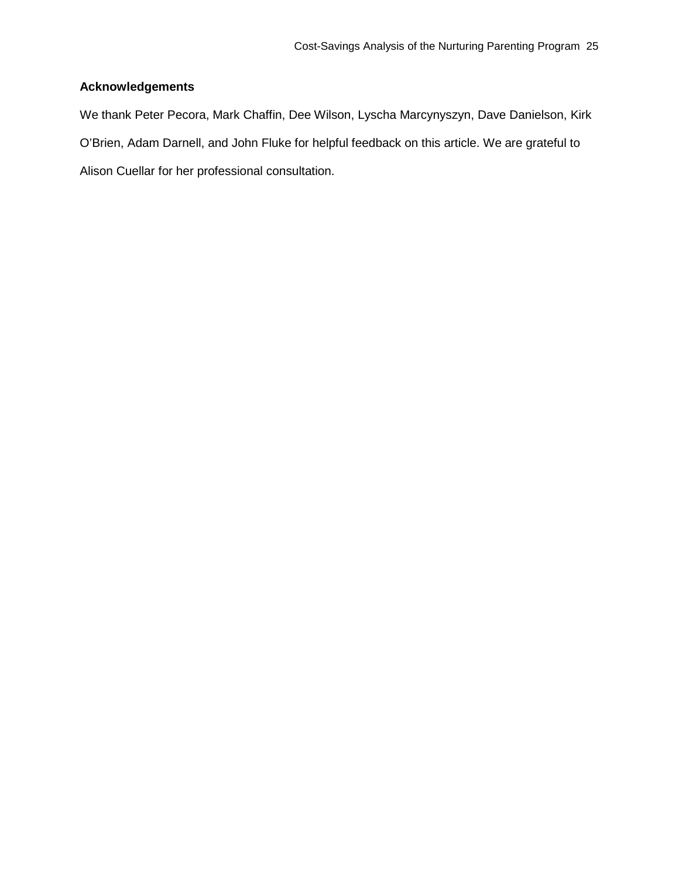# **Acknowledgements**

We thank Peter Pecora, Mark Chaffin, Dee Wilson, Lyscha Marcynyszyn, Dave Danielson, Kirk O'Brien, Adam Darnell, and John Fluke for helpful feedback on this article. We are grateful to Alison Cuellar for her professional consultation.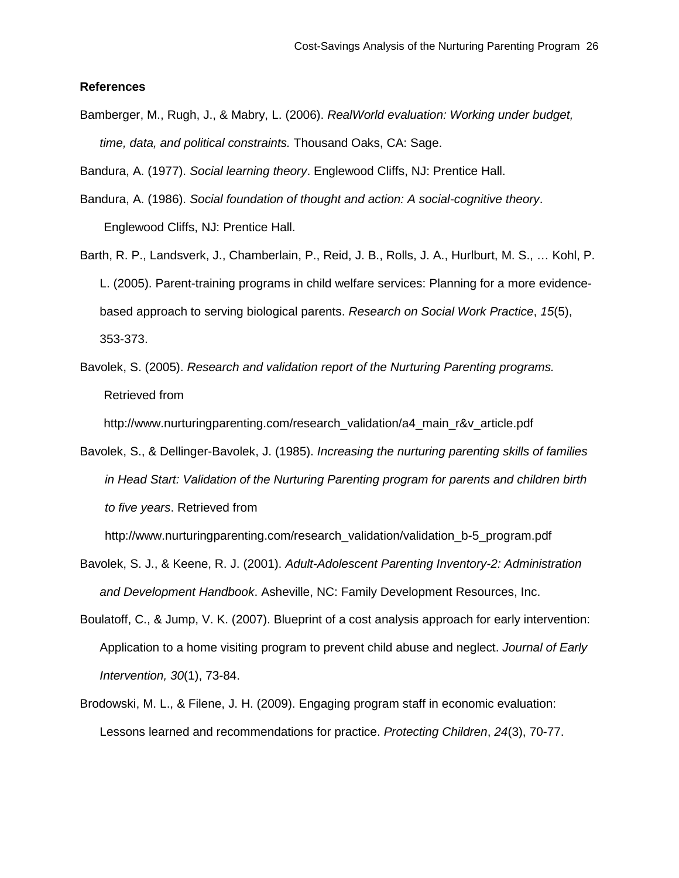# **References**

Bamberger, M., Rugh, J., & Mabry, L. (2006). *RealWorld evaluation: Working under budget, time, data, and political constraints.* Thousand Oaks, CA: Sage.

Bandura, A. (1977). *Social learning theory*. Englewood Cliffs, NJ: Prentice Hall.

- Bandura, A. (1986). *Social foundation of thought and action: A social-cognitive theory*. Englewood Cliffs, NJ: Prentice Hall.
- Barth, R. P., Landsverk, J., Chamberlain, P., Reid, J. B., Rolls, J. A., Hurlburt, M. S., … Kohl, P. L. (2005). Parent-training programs in child welfare services: Planning for a more evidencebased approach to serving biological parents. *Research on Social Work Practice*, *15*(5), 353-373.
- Bavolek, S. (2005). *Research and validation report of the Nurturing Parenting programs.* Retrieved from

http://www.nurturingparenting.com/research\_validation/a4\_main\_r&v\_article.pdf

Bavolek, S., & Dellinger-Bavolek, J. (1985). *Increasing the nurturing parenting skills of families in Head Start: Validation of the Nurturing Parenting program for parents and children birth to five years*. Retrieved from

http://www.nurturingparenting.com/research\_validation/validation\_b-5\_program.pdf

- Bavolek, S. J., & Keene, R. J. (2001). *Adult-Adolescent Parenting Inventory-2: Administration and Development Handbook*. Asheville, NC: Family Development Resources, Inc.
- Boulatoff, C., & Jump, V. K. (2007). Blueprint of a cost analysis approach for early intervention: Application to a home visiting program to prevent child abuse and neglect. *Journal of Early Intervention, 30*(1), 73-84.
- Brodowski, M. L., & Filene, J. H. (2009). Engaging program staff in economic evaluation: Lessons learned and recommendations for practice. *Protecting Children*, *24*(3), 70-77.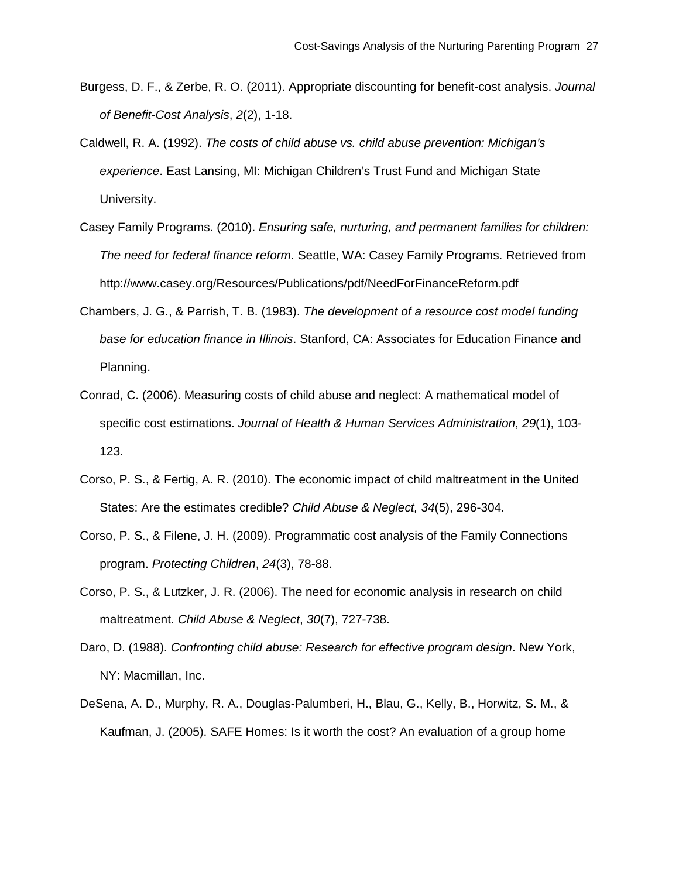- Burgess, D. F., & Zerbe, R. O. (2011). Appropriate discounting for benefit-cost analysis. *Journal of Benefit-Cost Analysis*, *2*(2), 1-18.
- Caldwell, R. A. (1992). *The costs of child abuse vs. child abuse prevention: Michigan's experience*. East Lansing, MI: Michigan Children's Trust Fund and Michigan State University.
- Casey Family Programs. (2010). *Ensuring safe, nurturing, and permanent families for children: The need for federal finance reform*. Seattle, WA: Casey Family Programs. Retrieved from http://www.casey.org/Resources/Publications/pdf/NeedForFinanceReform.pdf
- Chambers, J. G., & Parrish, T. B. (1983). *The development of a resource cost model funding base for education finance in Illinois*. Stanford, CA: Associates for Education Finance and Planning.
- Conrad, C. (2006). Measuring costs of child abuse and neglect: A mathematical model of specific cost estimations. *Journal of Health & Human Services Administration*, *29*(1), 103- 123.
- Corso, P. S., & Fertig, A. R. (2010). The economic impact of child maltreatment in the United States: Are the estimates credible? *Child Abuse & Neglect, 34*(5), 296-304.
- Corso, P. S., & Filene, J. H. (2009). Programmatic cost analysis of the Family Connections program. *Protecting Children*, *24*(3), 78-88.
- Corso, P. S., & Lutzker, J. R. (2006). The need for economic analysis in research on child maltreatment. *Child Abuse & Neglect*, *30*(7), 727-738.
- Daro, D. (1988). *Confronting child abuse: Research for effective program design*. New York, NY: Macmillan, Inc.
- DeSena, A. D., Murphy, R. A., Douglas-Palumberi, H., Blau, G., Kelly, B., Horwitz, S. M., & Kaufman, J. (2005). SAFE Homes: Is it worth the cost? An evaluation of a group home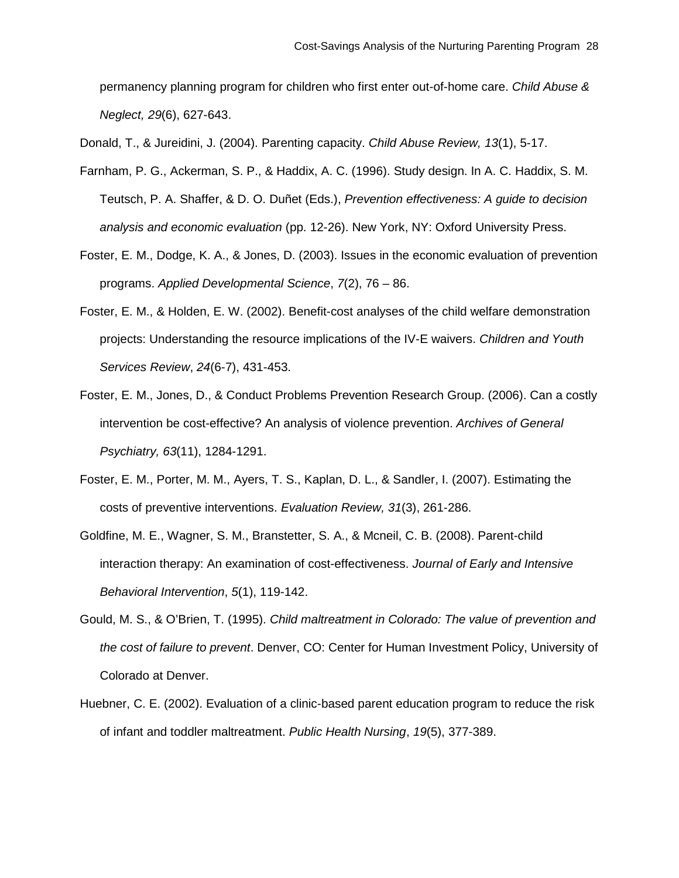permanency planning program for children who first enter out-of-home care. *Child Abuse & Neglect, 29*(6), 627-643.

Donald, T., & Jureidini, J. (2004). Parenting capacity. *Child Abuse Review, 13*(1), 5-17.

Farnham, P. G., Ackerman, S. P., & Haddix, A. C. (1996). Study design. In A. C. Haddix, S. M. Teutsch, P. A. Shaffer, & D. O. Duñet (Eds.), *Prevention effectiveness: A guide to decision analysis and economic evaluation* (pp. 12-26). New York, NY: Oxford University Press.

- Foster, E. M., Dodge, K. A., & Jones, D. (2003). Issues in the economic evaluation of prevention programs. *Applied Developmental Science*, *7*(2), 76 – 86.
- Foster, E. M., & Holden, E. W. (2002). Benefit-cost analyses of the child welfare demonstration projects: Understanding the resource implications of the IV-E waivers. *Children and Youth Services Review*, *24*(6-7), 431-453.
- Foster, E. M., Jones, D., & Conduct Problems Prevention Research Group. (2006). Can a costly intervention be cost-effective? An analysis of violence prevention. *Archives of General Psychiatry, 63*(11), 1284-1291.
- Foster, E. M., Porter, M. M., Ayers, T. S., Kaplan, D. L., & Sandler, I. (2007). Estimating the costs of preventive interventions. *Evaluation Review, 31*(3), 261-286.
- Goldfine, M. E., Wagner, S. M., Branstetter, S. A., & Mcneil, C. B. (2008). Parent-child interaction therapy: An examination of cost-effectiveness. *Journal of Early and Intensive Behavioral Intervention*, *5*(1), 119-142.
- Gould, M. S., & O'Brien, T. (1995). *Child maltreatment in Colorado: The value of prevention and the cost of failure to prevent*. Denver, CO: Center for Human Investment Policy, University of Colorado at Denver.
- Huebner, C. E. (2002). Evaluation of a clinic-based parent education program to reduce the risk of infant and toddler maltreatment. *Public Health Nursing*, *19*(5), 377-389.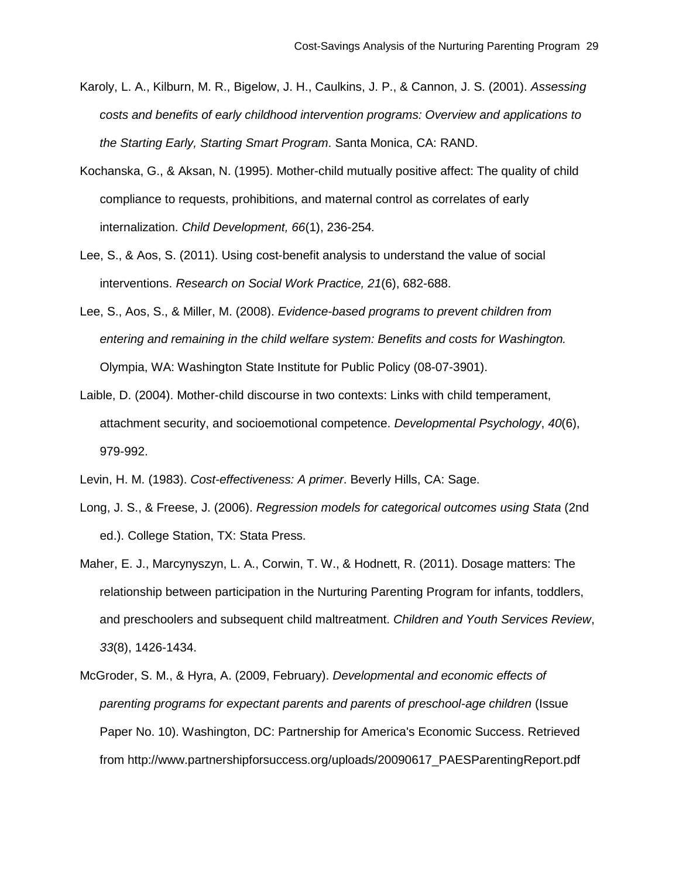- Karoly, L. A., Kilburn, M. R., Bigelow, J. H., Caulkins, J. P., & Cannon, J. S. (2001). *Assessing costs and benefits of early childhood intervention programs: Overview and applications to the Starting Early, Starting Smart Program*. Santa Monica, CA: RAND.
- Kochanska, G., & Aksan, N. (1995). Mother-child mutually positive affect: The quality of child compliance to requests, prohibitions, and maternal control as correlates of early internalization. *Child Development, 66*(1), 236-254*.*
- Lee, S., & Aos, S. (2011). Using cost-benefit analysis to understand the value of social interventions. *Research on Social Work Practice, 21*(6), 682-688.
- Lee, S., Aos, S., & Miller, M. (2008). *Evidence-based programs to prevent children from entering and remaining in the child welfare system: Benefits and costs for Washington.*  Olympia, WA: Washington State Institute for Public Policy (08-07-3901).
- Laible, D. (2004). Mother-child discourse in two contexts: Links with child temperament, attachment security, and socioemotional competence. *Developmental Psychology*, *40*(6), 979-992.
- Levin, H. M. (1983). *Cost-effectiveness: A primer*. Beverly Hills, CA: Sage.
- Long, J. S., & Freese, J. (2006). *Regression models for categorical outcomes using Stata* (2nd ed.). College Station, TX: Stata Press.
- Maher, E. J., Marcynyszyn, L. A., Corwin, T. W., & Hodnett, R. (2011). Dosage matters: The relationship between participation in the Nurturing Parenting Program for infants, toddlers, and preschoolers and subsequent child maltreatment. *Children and Youth Services Review*, *33*(8), 1426-1434.
- McGroder, S. M., & Hyra, A. (2009, February). *Developmental and economic effects of parenting programs for expectant parents and parents of preschool-age children* (Issue Paper No. 10). Washington, DC: Partnership for America's Economic Success. Retrieved from http://www.partnershipforsuccess.org/uploads/20090617\_PAESParentingReport.pdf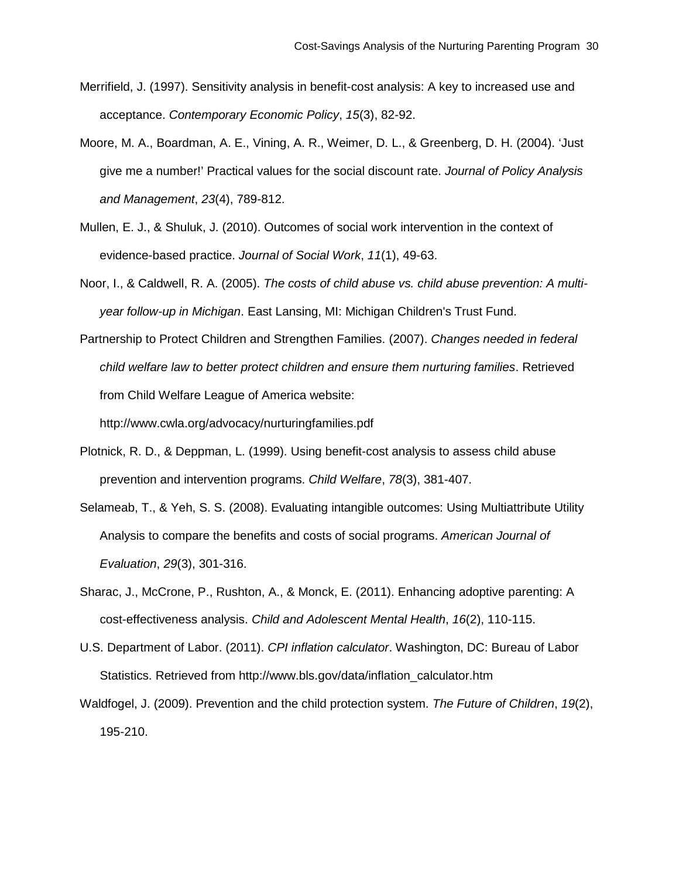- Merrifield, J. (1997). Sensitivity analysis in benefit-cost analysis: A key to increased use and acceptance. *Contemporary Economic Policy*, *15*(3), 82-92.
- Moore, M. A., Boardman, A. E., Vining, A. R., Weimer, D. L., & Greenberg, D. H. (2004). 'Just give me a number!' Practical values for the social discount rate. *Journal of Policy Analysis and Management*, *23*(4), 789-812.
- Mullen, E. J., & Shuluk, J. (2010). Outcomes of social work intervention in the context of evidence-based practice. *Journal of Social Work*, *11*(1), 49-63.
- Noor, I., & Caldwell, R. A. (2005). *The costs of child abuse vs. child abuse prevention: A multiyear follow-up in Michigan*. East Lansing, MI: Michigan Children's Trust Fund.
- Partnership to Protect Children and Strengthen Families. (2007). *Changes needed in federal child welfare law to better protect children and ensure them nurturing families*. Retrieved from Child Welfare League of America website: http://www.cwla.org/advocacy/nurturingfamilies.pdf
- Plotnick, R. D., & Deppman, L. (1999). Using benefit-cost analysis to assess child abuse prevention and intervention programs. *Child Welfare*, *78*(3), 381-407.
- Selameab, T., & Yeh, S. S. (2008). Evaluating intangible outcomes: Using Multiattribute Utility Analysis to compare the benefits and costs of social programs. *American Journal of Evaluation*, *29*(3), 301-316.
- Sharac, J., McCrone, P., Rushton, A., & Monck, E. (2011). Enhancing adoptive parenting: A cost-effectiveness analysis. *Child and Adolescent Mental Health*, *16*(2), 110-115.
- U.S. Department of Labor. (2011). *CPI inflation calculator*. Washington, DC: Bureau of Labor Statistics. Retrieved from http://www.bls.gov/data/inflation\_calculator.htm
- Waldfogel, J. (2009). Prevention and the child protection system. *The Future of Children*, *19*(2), 195-210.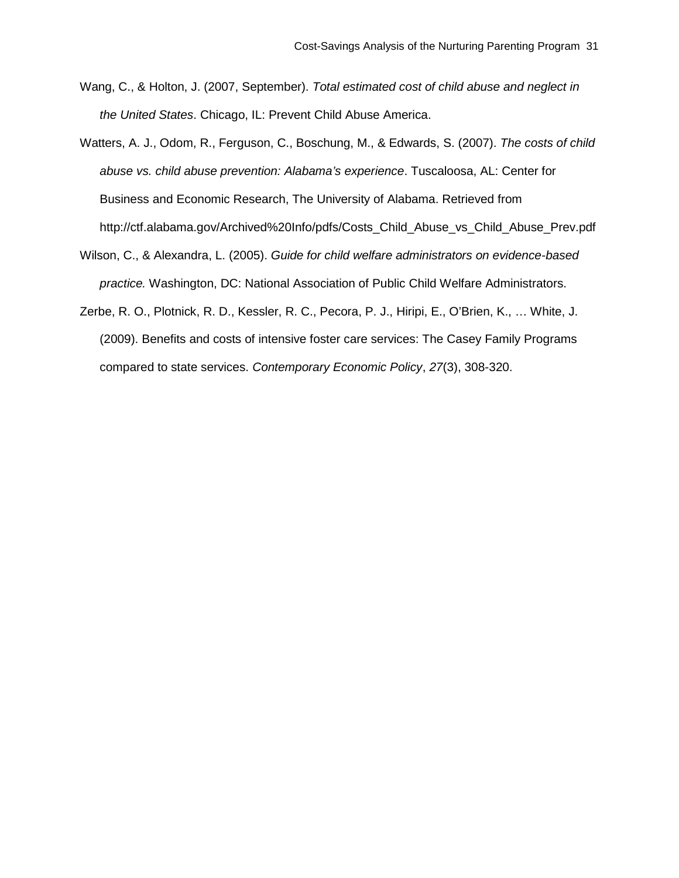- Wang, C., & Holton, J. (2007, September). *Total estimated cost of child abuse and neglect in the United States*. Chicago, IL: Prevent Child Abuse America.
- Watters, A. J., Odom, R., Ferguson, C., Boschung, M., & Edwards, S. (2007). *The costs of child abuse vs. child abuse prevention: Alabama's experience*. Tuscaloosa, AL: Center for Business and Economic Research, The University of Alabama. Retrieved from http://ctf.alabama.gov/Archived%20Info/pdfs/Costs\_Child\_Abuse\_vs\_Child\_Abuse\_Prev.pdf
- Wilson, C., & Alexandra, L. (2005). *Guide for child welfare administrators on evidence-based practice.* Washington, DC: National Association of Public Child Welfare Administrators.
- Zerbe, R. O., Plotnick, R. D., Kessler, R. C., Pecora, P. J., Hiripi, E., O'Brien, K., … White, J. (2009). Benefits and costs of intensive foster care services: The Casey Family Programs compared to state services. *Contemporary Economic Policy*, *27*(3), 308-320.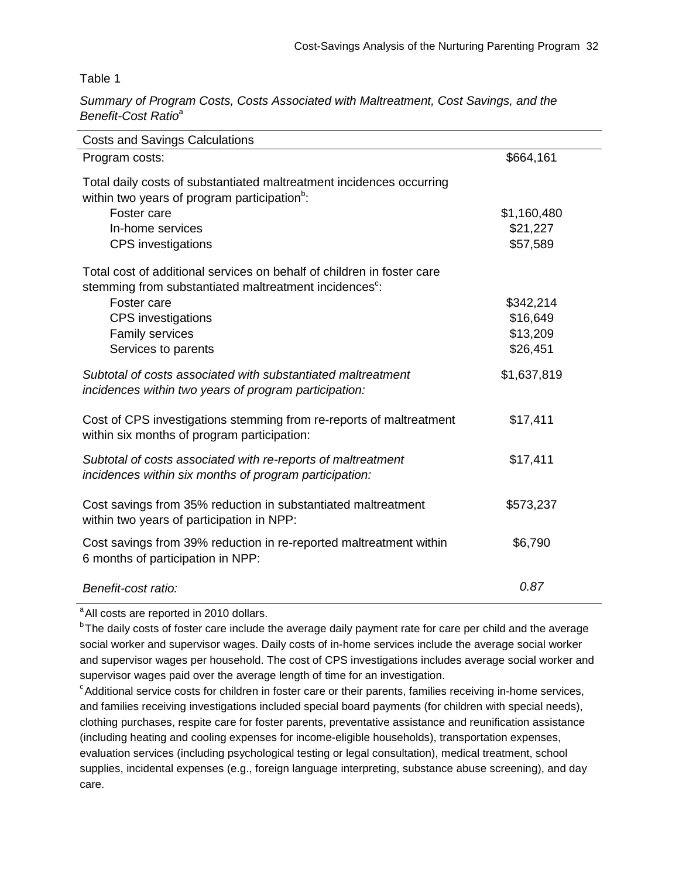Table 1

*Summary of Program Costs, Costs Associated with Maltreatment, Cost Savings, and the Benefit-Cost Ratio*<sup>a</sup>

| <b>Costs and Savings Calculations</b>                                                                                                        |             |
|----------------------------------------------------------------------------------------------------------------------------------------------|-------------|
| Program costs:                                                                                                                               | \$664,161   |
| Total daily costs of substantiated maltreatment incidences occurring<br>within two years of program participation <sup>b</sup> :             |             |
| Foster care                                                                                                                                  | \$1,160,480 |
| In-home services                                                                                                                             | \$21,227    |
| <b>CPS</b> investigations                                                                                                                    | \$57,589    |
| Total cost of additional services on behalf of children in foster care<br>stemming from substantiated maltreatment incidences <sup>c</sup> : |             |
| Foster care                                                                                                                                  | \$342,214   |
| <b>CPS</b> investigations                                                                                                                    | \$16,649    |
| Family services                                                                                                                              | \$13,209    |
| Services to parents                                                                                                                          | \$26,451    |
| Subtotal of costs associated with substantiated maltreatment<br>incidences within two years of program participation:                        | \$1,637,819 |
| Cost of CPS investigations stemming from re-reports of maltreatment<br>within six months of program participation:                           | \$17,411    |
| Subtotal of costs associated with re-reports of maltreatment<br>incidences within six months of program participation:                       | \$17,411    |
| Cost savings from 35% reduction in substantiated maltreatment<br>within two years of participation in NPP:                                   | \$573,237   |
| Cost savings from 39% reduction in re-reported maltreatment within<br>6 months of participation in NPP:                                      | \$6,790     |
| Benefit-cost ratio:                                                                                                                          | 0.87        |

<sup>a</sup> All costs are reported in 2010 dollars.

<sup>b</sup>The daily costs of foster care include the average daily payment rate for care per child and the average social worker and supervisor wages. Daily costs of in-home services include the average social worker and supervisor wages per household. The cost of CPS investigations includes average social worker and supervisor wages paid over the average length of time for an investigation.

<sup>c</sup>Additional service costs for children in foster care or their parents, families receiving in-home services, and families receiving investigations included special board payments (for children with special needs), clothing purchases, respite care for foster parents, preventative assistance and reunification assistance (including heating and cooling expenses for income-eligible households), transportation expenses, evaluation services (including psychological testing or legal consultation), medical treatment, school supplies, incidental expenses (e.g., foreign language interpreting, substance abuse screening), and day care.